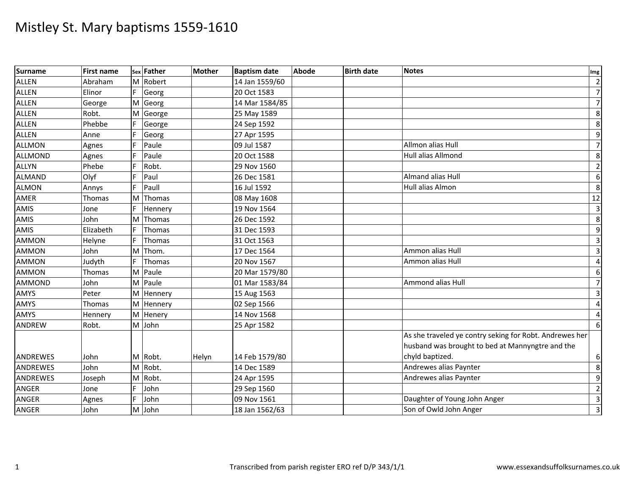| <b>Surname</b> | <b>First name</b> |    | sex Father | <b>Mother</b> | <b>Baptism date</b> | <b>Abode</b> | <b>Birth date</b> | <b>Notes</b>                                                                                                | Img                     |
|----------------|-------------------|----|------------|---------------|---------------------|--------------|-------------------|-------------------------------------------------------------------------------------------------------------|-------------------------|
| <b>ALLEN</b>   | Abraham           | M  | Robert     |               | 14 Jan 1559/60      |              |                   |                                                                                                             | $\overline{2}$          |
| ALLEN          | Elinor            | F. | Georg      |               | 20 Oct 1583         |              |                   |                                                                                                             | $\overline{7}$          |
| ALLEN          | George            | M  | Georg      |               | 14 Mar 1584/85      |              |                   |                                                                                                             | $\overline{7}$          |
| <b>ALLEN</b>   | Robt.             | M  | George     |               | 25 May 1589         |              |                   |                                                                                                             | 8                       |
| <b>ALLEN</b>   | Phebbe            |    | George     |               | 24 Sep 1592         |              |                   |                                                                                                             | $\overline{8}$          |
| ALLEN          | Anne              |    | Georg      |               | 27 Apr 1595         |              |                   |                                                                                                             | $\boldsymbol{9}$        |
| <b>ALLMON</b>  | Agnes             |    | Paule      |               | 09 Jul 1587         |              |                   | Allmon alias Hull                                                                                           | $\overline{7}$          |
| <b>ALLMOND</b> | Agnes             |    | Paule      |               | 20 Oct 1588         |              |                   | <b>Hull alias Allmond</b>                                                                                   | 8                       |
| <b>ALLYN</b>   | Phebe             |    | Robt.      |               | 29 Nov 1560         |              |                   |                                                                                                             | $\overline{2}$          |
| <b>ALMAND</b>  | Olyf              |    | Paul       |               | 26 Dec 1581         |              |                   | <b>Almand alias Hull</b>                                                                                    | 6                       |
| <b>ALMON</b>   | Annys             |    | Paull      |               | 16 Jul 1592         |              |                   | Hull alias Almon                                                                                            | 8                       |
| AMER           | Thomas            | M  | Thomas     |               | 08 May 1608         |              |                   |                                                                                                             | 12                      |
| AMIS           | Jone              |    | Hennery    |               | 19 Nov 1564         |              |                   |                                                                                                             | $\overline{3}$          |
| <b>AMIS</b>    | John              | M  | Thomas     |               | 26 Dec 1592         |              |                   |                                                                                                             | $\overline{8}$          |
| <b>AMIS</b>    | Elizabeth         | F  | Thomas     |               | 31 Dec 1593         |              |                   |                                                                                                             | 9                       |
| <b>AMMON</b>   | Helyne            |    | Thomas     |               | 31 Oct 1563         |              |                   |                                                                                                             | $\overline{\mathbf{3}}$ |
| <b>AMMON</b>   | John              | M  | Thom.      |               | 17 Dec 1564         |              |                   | Ammon alias Hull                                                                                            | $\overline{\mathbf{3}}$ |
| <b>AMMON</b>   | Judyth            | F. | Thomas     |               | 20 Nov 1567         |              |                   | Ammon alias Hull                                                                                            | $\overline{4}$          |
| <b>AMMON</b>   | Thomas            | M  | Paule      |               | 20 Mar 1579/80      |              |                   |                                                                                                             | 6                       |
| <b>AMMOND</b>  | John              | M  | Paule      |               | 01 Mar 1583/84      |              |                   | Ammond alias Hull                                                                                           | $\overline{7}$          |
| <b>AMYS</b>    | Peter             | M  | Hennery    |               | 15 Aug 1563         |              |                   |                                                                                                             | $\overline{\mathbf{3}}$ |
| AMYS           | Thomas            | M  | Hennery    |               | 02 Sep 1566         |              |                   |                                                                                                             | $\overline{\mathbf{r}}$ |
| <b>AMYS</b>    | Hennery           | M  | Henery     |               | 14 Nov 1568         |              |                   |                                                                                                             | 4                       |
| <b>ANDREW</b>  | Robt.             |    | M John     |               | 25 Apr 1582         |              |                   |                                                                                                             | 6                       |
|                |                   |    |            |               |                     |              |                   | As she traveled ye contry seking for Robt. Andrewes her<br>husband was brought to bed at Mannyngtre and the |                         |
| ANDREWES       | John              |    | M Robt.    | Helyn         | 14 Feb 1579/80      |              |                   | chyld baptized.                                                                                             | $\boldsymbol{6}$        |
| ANDREWES       | John              | M  | Robt.      |               | 14 Dec 1589         |              |                   | Andrewes alias Paynter                                                                                      | 8                       |
| ANDREWES       | Joseph            | M  | Robt.      |               | 24 Apr 1595         |              |                   | Andrewes alias Paynter                                                                                      | 9                       |
| ANGER          | Jone              |    | John       |               | 29 Sep 1560         |              |                   |                                                                                                             | $\overline{2}$          |
| <b>ANGER</b>   | Agnes             | F. | John       |               | 09 Nov 1561         |              |                   | Daughter of Young John Anger                                                                                | $\overline{3}$          |
| <b>ANGER</b>   | John              | M  | John       |               | 18 Jan 1562/63      |              |                   | Son of Owld John Anger                                                                                      | $\overline{3}$          |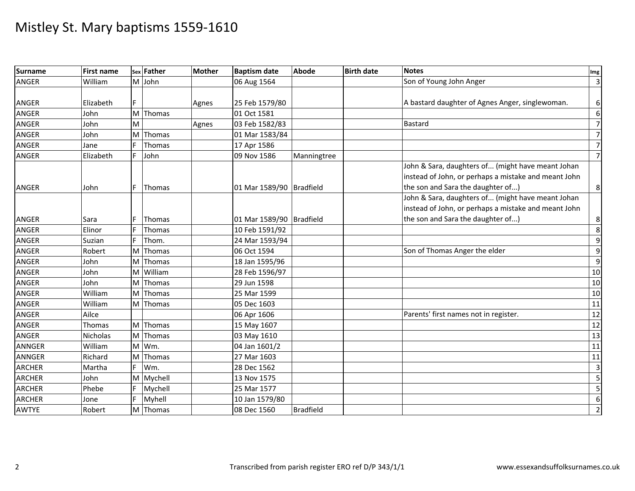| <b>Surname</b> | First name |    | sex Father    | <b>Mother</b> | <b>Baptism date</b>      | <b>Abode</b>     | <b>Birth date</b> | <b>Notes</b>                                         | Img                     |
|----------------|------------|----|---------------|---------------|--------------------------|------------------|-------------------|------------------------------------------------------|-------------------------|
| <b>ANGER</b>   | William    | M  | John          |               | 06 Aug 1564              |                  |                   | Son of Young John Anger                              | $\overline{\mathbf{3}}$ |
|                |            |    |               |               |                          |                  |                   |                                                      |                         |
| ANGER          | Elizabeth  |    |               | Agnes         | 25 Feb 1579/80           |                  |                   | A bastard daughter of Agnes Anger, singlewoman.      | 6                       |
| <b>ANGER</b>   | John       | M  | Thomas        |               | 01 Oct 1581              |                  |                   |                                                      | 6                       |
| <b>ANGER</b>   | John       | M  |               | Agnes         | 03 Feb 1582/83           |                  |                   | <b>Bastard</b>                                       | $7\overline{}$          |
| <b>ANGER</b>   | John       | M  | Thomas        |               | 01 Mar 1583/84           |                  |                   |                                                      | $\overline{7}$          |
| <b>ANGER</b>   | Jane       |    | Thomas        |               | 17 Apr 1586              |                  |                   |                                                      | $7\overline{}$          |
| <b>ANGER</b>   | Elizabeth  |    | John          |               | 09 Nov 1586              | Manningtree      |                   |                                                      | $7\overline{}$          |
|                |            |    |               |               |                          |                  |                   | John & Sara, daughters of (might have meant Johan    |                         |
|                |            |    |               |               |                          |                  |                   | instead of John, or perhaps a mistake and meant John |                         |
| <b>ANGER</b>   | John       |    | Thomas        |               | 01 Mar 1589/90 Bradfield |                  |                   | the son and Sara the daughter of)                    | 8 <sup>1</sup>          |
|                |            |    |               |               |                          |                  |                   | John & Sara, daughters of (might have meant Johan    |                         |
|                |            |    |               |               |                          |                  |                   | instead of John, or perhaps a mistake and meant John |                         |
| <b>ANGER</b>   | Sara       |    | Thomas        |               | 01 Mar 1589/90 Bradfield |                  |                   | the son and Sara the daughter of)                    | 8 <sup>1</sup>          |
| <b>ANGER</b>   | Elinor     | F  | <b>Thomas</b> |               | 10 Feb 1591/92           |                  |                   |                                                      | 8                       |
| <b>ANGER</b>   | Suzian     |    | Thom.         |               | 24 Mar 1593/94           |                  |                   |                                                      | $9\,$                   |
| <b>ANGER</b>   | Robert     | M  | Thomas        |               | 06 Oct 1594              |                  |                   | Son of Thomas Anger the elder                        | 9                       |
| <b>ANGER</b>   | John       | M  | Thomas        |               | 18 Jan 1595/96           |                  |                   |                                                      | 9                       |
| <b>ANGER</b>   | John       | M  | William       |               | 28 Feb 1596/97           |                  |                   |                                                      | 10                      |
| <b>ANGER</b>   | John       | M  | Thomas        |               | 29 Jun 1598              |                  |                   |                                                      | 10                      |
| <b>ANGER</b>   | William    | M  | Thomas        |               | 25 Mar 1599              |                  |                   |                                                      | 10                      |
| <b>ANGER</b>   | William    | M  | Thomas        |               | 05 Dec 1603              |                  |                   |                                                      | 11                      |
| <b>ANGER</b>   | Ailce      |    |               |               | 06 Apr 1606              |                  |                   | Parents' first names not in register.                | 12                      |
| <b>ANGER</b>   | Thomas     |    | M Thomas      |               | 15 May 1607              |                  |                   |                                                      | 12                      |
| ANGER          | Nicholas   | M  | Thomas        |               | 03 May 1610              |                  |                   |                                                      | 13                      |
| <b>ANNGER</b>  | William    | M  | Wm.           |               | 04 Jan 1601/2            |                  |                   |                                                      | 11                      |
| ANNGER         | Richard    | M  | Thomas        |               | 27 Mar 1603              |                  |                   |                                                      | 11                      |
| <b>ARCHER</b>  | Martha     |    | Wm.           |               | 28 Dec 1562              |                  |                   |                                                      | $\overline{3}$          |
| <b>ARCHER</b>  | John       | M  | Mychell       |               | 13 Nov 1575              |                  |                   |                                                      | $\overline{5}$          |
| <b>ARCHER</b>  | Phebe      |    | Mychell       |               | 25 Mar 1577              |                  |                   |                                                      | $\sqrt{5}$              |
| <b>ARCHER</b>  | Jone       | F. | Myhell        |               | 10 Jan 1579/80           |                  |                   |                                                      | 6                       |
| AWTYE          | Robert     |    | M Thomas      |               | 08 Dec 1560              | <b>Bradfield</b> |                   |                                                      | $\overline{2}$          |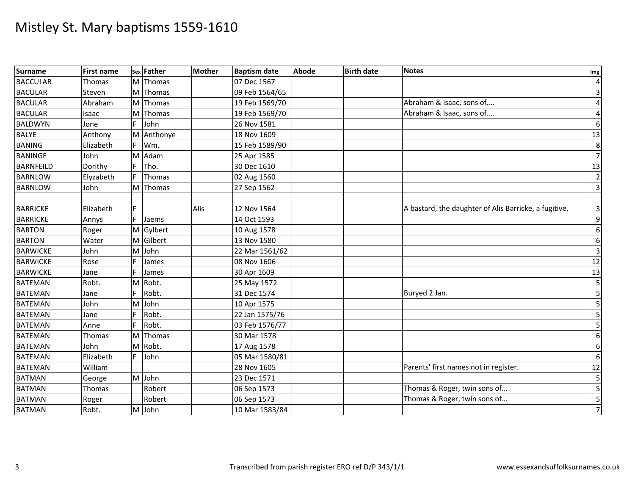| <b>Surname</b>   | <b>First name</b> |    | sex Father | Mother | <b>Baptism date</b> | <b>Abode</b> | <b>Birth date</b> | <b>Notes</b>                                          | Img            |
|------------------|-------------------|----|------------|--------|---------------------|--------------|-------------------|-------------------------------------------------------|----------------|
| <b>BACCULAR</b>  | Thomas            |    | M Thomas   |        | 07 Dec 1567         |              |                   |                                                       | $\overline{4}$ |
| <b>BACULAR</b>   | Steven            |    | M Thomas   |        | 09 Feb 1564/65      |              |                   |                                                       | $\overline{3}$ |
| <b>BACULAR</b>   | Abraham           | M  | Thomas     |        | 19 Feb 1569/70      |              |                   | Abraham & Isaac, sons of                              | $\overline{4}$ |
| <b>BACULAR</b>   | Isaac             | M  | Thomas     |        | 19 Feb 1569/70      |              |                   | Abraham & Isaac, sons of                              | $\overline{a}$ |
| <b>BALDWYN</b>   | Jone              | F. | John       |        | 26 Nov 1581         |              |                   |                                                       | $6 \mid$       |
| <b>BALYE</b>     | Anthony           |    | M Anthonye |        | 18 Nov 1609         |              |                   |                                                       | 13             |
| <b>BANING</b>    | Elizabeth         |    | Wm.        |        | 15 Feb 1589/90      |              |                   |                                                       | 8 <sup>°</sup> |
| <b>BANINGE</b>   | John              | M  | Adam       |        | 25 Apr 1585         |              |                   |                                                       | $\overline{7}$ |
| <b>BARNFEILD</b> | Dorithy           | F  | Tho.       |        | 30 Dec 1610         |              |                   |                                                       | 13             |
| <b>BARNLOW</b>   | Elyzabeth         |    | Thomas     |        | 02 Aug 1560         |              |                   |                                                       | $\overline{2}$ |
| <b>BARNLOW</b>   | John              |    | M Thomas   |        | 27 Sep 1562         |              |                   |                                                       | $\overline{3}$ |
| <b>BARRICKE</b>  | Elizabeth         | IF |            | Alis   | 12 Nov 1564         |              |                   | A bastard, the daughter of Alis Barricke, a fugitive. | $\overline{3}$ |
| <b>BARRICKE</b>  | Annys             | F. | Jaems      |        | 14 Oct 1593         |              |                   |                                                       | $\overline{9}$ |
| <b>BARTON</b>    | Roger             |    | M Gylbert  |        | 10 Aug 1578         |              |                   |                                                       | $6 \mid$       |
| <b>BARTON</b>    | Water             | M  | Gilbert    |        | 13 Nov 1580         |              |                   |                                                       | $6 \mid$       |
| <b>BARWICKE</b>  | John              | M  | John       |        | 22 Mar 1561/62      |              |                   |                                                       | $\overline{3}$ |
| <b>BARWICKE</b>  | Rose              | F. | James      |        | 08 Nov 1606         |              |                   |                                                       | 12             |
| <b>BARWICKE</b>  | Jane              | F. | James      |        | 30 Apr 1609         |              |                   |                                                       | 13             |
| <b>BATEMAN</b>   | Robt.             | M  | Robt.      |        | 25 May 1572         |              |                   |                                                       | 5 <sub>l</sub> |
| <b>BATEMAN</b>   | Jane              |    | Robt.      |        | 31 Dec 1574         |              |                   | Buryed 2 Jan.                                         | 5              |
| <b>BATEMAN</b>   | John              | M  | John       |        | 10 Apr 1575         |              |                   |                                                       | 5              |
| <b>BATEMAN</b>   | Jane              | F. | Robt.      |        | 22 Jan 1575/76      |              |                   |                                                       | 5 <sub>l</sub> |
| <b>BATEMAN</b>   | Anne              |    | Robt.      |        | 03 Feb 1576/77      |              |                   |                                                       | 5              |
| <b>BATEMAN</b>   | Thomas            | M  | Thomas     |        | 30 Mar 1578         |              |                   |                                                       | $6 \mid$       |
| <b>BATEMAN</b>   | John              | M  | Robt.      |        | 17 Aug 1578         |              |                   |                                                       | $6 \mid$       |
| <b>BATEMAN</b>   | Elizabeth         | F. | John       |        | 05 Mar 1580/81      |              |                   |                                                       | $6 \mid$       |
| <b>BATEMAN</b>   | William           |    |            |        | 28 Nov 1605         |              |                   | Parents' first names not in register.                 | 12             |
| <b>BATMAN</b>    | George            | M  | John       |        | 23 Dec 1571         |              |                   |                                                       | 5              |
| <b>BATMAN</b>    | Thomas            |    | Robert     |        | 06 Sep 1573         |              |                   | Thomas & Roger, twin sons of                          | 5 <sub>l</sub> |
| <b>BATMAN</b>    | Roger             |    | Robert     |        | 06 Sep 1573         |              |                   | Thomas & Roger, twin sons of                          | 5 <sub>l</sub> |
| <b>BATMAN</b>    | Robt.             |    | M John     |        | 10 Mar 1583/84      |              |                   |                                                       | $\overline{7}$ |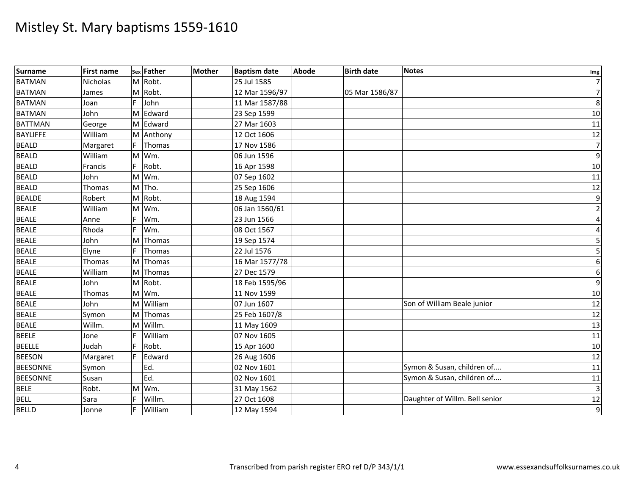| Surname         | <b>First name</b> |     | sex Father | <b>Mother</b> | <b>Baptism date</b> | <b>Abode</b> | <b>Birth date</b> | <b>Notes</b>                   | Img             |
|-----------------|-------------------|-----|------------|---------------|---------------------|--------------|-------------------|--------------------------------|-----------------|
| <b>BATMAN</b>   | <b>Nicholas</b>   |     | M Robt.    |               | 25 Jul 1585         |              |                   |                                | $\overline{7}$  |
| <b>BATMAN</b>   | James             |     | M Robt.    |               | 12 Mar 1596/97      |              | 05 Mar 1586/87    |                                | $\overline{7}$  |
| <b>BATMAN</b>   | Joan              |     | John       |               | 11 Mar 1587/88      |              |                   |                                | 8 <sup>°</sup>  |
| <b>BATMAN</b>   | John              |     | M Edward   |               | 23 Sep 1599         |              |                   |                                | 10              |
| <b>BATTMAN</b>  | George            |     | M Edward   |               | 27 Mar 1603         |              |                   |                                | 11              |
| <b>BAYLIFFE</b> | William           |     | M Anthony  |               | 12 Oct 1606         |              |                   |                                | 12              |
| <b>BEALD</b>    | Margaret          | F.  | Thomas     |               | 17 Nov 1586         |              |                   |                                | $\overline{7}$  |
| <b>BEALD</b>    | William           | M   | Wm.        |               | 06 Jun 1596         |              |                   |                                | $\overline{9}$  |
| <b>BEALD</b>    | Francis           | F.  | Robt.      |               | 16 Apr 1598         |              |                   |                                | 10              |
| <b>BEALD</b>    | John              | M   | Wm.        |               | 07 Sep 1602         |              |                   |                                | 11              |
| <b>BEALD</b>    | Thomas            |     | M Tho.     |               | 25 Sep 1606         |              |                   |                                | 12              |
| <b>BEALDE</b>   | Robert            | M   | Robt.      |               | 18 Aug 1594         |              |                   |                                | 9               |
| <b>BEALE</b>    | William           | M   | Wm.        |               | 06 Jan 1560/61      |              |                   |                                | $\overline{2}$  |
| <b>BEALE</b>    | Anne              |     | Wm.        |               | 23 Jun 1566         |              |                   |                                | $\overline{a}$  |
| <b>BEALE</b>    | Rhoda             |     | Wm.        |               | 08 Oct 1567         |              |                   |                                | $\overline{a}$  |
| <b>BEALE</b>    | John              | ΙM  | Thomas     |               | 19 Sep 1574         |              |                   |                                | 5 <sub>l</sub>  |
| <b>BEALE</b>    | Elyne             | IF. | Thomas     |               | 22 Jul 1576         |              |                   |                                | $5 \frac{1}{2}$ |
| <b>BEALE</b>    | Thomas            | M   | Thomas     |               | 16 Mar 1577/78      |              |                   |                                | $6 \mid$        |
| <b>BEALE</b>    | William           |     | M Thomas   |               | 27 Dec 1579         |              |                   |                                | $6 \mid$        |
| <b>BEALE</b>    | John              | M   | Robt.      |               | 18 Feb 1595/96      |              |                   |                                | 9               |
| <b>BEALE</b>    | Thomas            | M   | Wm.        |               | 11 Nov 1599         |              |                   |                                | 10              |
| <b>BEALE</b>    | John              | M   | William    |               | 07 Jun 1607         |              |                   | Son of William Beale junior    | 12              |
| <b>BEALE</b>    | Symon             |     | M Thomas   |               | 25 Feb 1607/8       |              |                   |                                | 12              |
| <b>BEALE</b>    | Willm.            | M   | Willm.     |               | 11 May 1609         |              |                   |                                | 13              |
| <b>BEELE</b>    | Jone              |     | William    |               | 07 Nov 1605         |              |                   |                                | 11              |
| <b>BEELLE</b>   | Judah             | F.  | Robt.      |               | 15 Apr 1600         |              |                   |                                | 10              |
| <b>BEESON</b>   | Margaret          |     | Edward     |               | 26 Aug 1606         |              |                   |                                | 12              |
| <b>BEESONNE</b> | Symon             |     | Ed.        |               | 02 Nov 1601         |              |                   | Symon & Susan, children of     | 11              |
| <b>BEESONNE</b> | Susan             |     | Ed.        |               | 02 Nov 1601         |              |                   | Symon & Susan, children of     | 11              |
| <b>BELE</b>     | Robt.             | M   | Wm.        |               | 31 May 1562         |              |                   |                                | $\overline{3}$  |
| <b>BELL</b>     | Sara              |     | Willm.     |               | 27 Oct 1608         |              |                   | Daughter of Willm. Bell senior | 12              |
| <b>BELLD</b>    | Jonne             |     | William    |               | 12 May 1594         |              |                   |                                | $\overline{9}$  |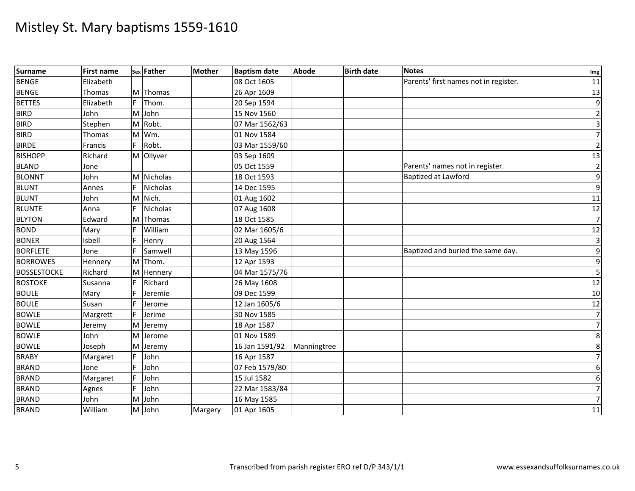| <b>Surname</b>     | <b>First name</b> |    | sex Father | <b>Mother</b> | <b>Baptism date</b> | <b>Abode</b> | <b>Birth date</b> | <b>Notes</b>                          | Img             |
|--------------------|-------------------|----|------------|---------------|---------------------|--------------|-------------------|---------------------------------------|-----------------|
| <b>BENGE</b>       | Elizabeth         |    |            |               | 08 Oct 1605         |              |                   | Parents' first names not in register. | 11              |
| <b>BENGE</b>       | Thomas            |    | M Thomas   |               | 26 Apr 1609         |              |                   |                                       | 13              |
| <b>BETTES</b>      | Elizabeth         |    | Thom.      |               | 20 Sep 1594         |              |                   |                                       | $\overline{9}$  |
| <b>BIRD</b>        | John              |    | M John     |               | 15 Nov 1560         |              |                   |                                       | $\overline{2}$  |
| <b>BIRD</b>        | Stephen           |    | M Robt.    |               | 07 Mar 1562/63      |              |                   |                                       | $\overline{3}$  |
| <b>BIRD</b>        | Thomas            |    | M Wm.      |               | 01 Nov 1584         |              |                   |                                       | $\overline{7}$  |
| <b>BIRDE</b>       | Francis           | F. | Robt.      |               | 03 Mar 1559/60      |              |                   |                                       | $\overline{2}$  |
| <b>BISHOPP</b>     | Richard           |    | M Ollyver  |               | 03 Sep 1609         |              |                   |                                       | 13              |
| <b>BLAND</b>       | Jone              |    |            |               | 05 Oct 1559         |              |                   | Parents' names not in register.       | $\overline{2}$  |
| <b>BLONNT</b>      | John              |    | M Nicholas |               | 18 Oct 1593         |              |                   | Baptized at Lawford                   | $\overline{9}$  |
| <b>BLUNT</b>       | Annes             |    | Nicholas   |               | 14 Dec 1595         |              |                   |                                       | 9               |
| <b>BLUNT</b>       | John              |    | M Nich.    |               | 01 Aug 1602         |              |                   |                                       | 11              |
| <b>BLUNTE</b>      | Anna              |    | Nicholas   |               | 07 Aug 1608         |              |                   |                                       | 12              |
| <b>BLYTON</b>      | Edward            | M  | Thomas     |               | 18 Oct 1585         |              |                   |                                       | $\overline{7}$  |
| <b>BOND</b>        | Mary              |    | William    |               | 02 Mar 1605/6       |              |                   |                                       | 12              |
| <b>BONER</b>       | Isbell            |    | Henry      |               | 20 Aug 1564         |              |                   |                                       | $\overline{3}$  |
| <b>BORFLETE</b>    | Jone              |    | Samwell    |               | 13 May 1596         |              |                   | Baptized and buried the same day.     | 9               |
| <b>BORROWES</b>    | Hennery           | M  | Thom.      |               | 12 Apr 1593         |              |                   |                                       | 9               |
| <b>BOSSESTOCKE</b> | Richard           |    | M Hennery  |               | 04 Mar 1575/76      |              |                   |                                       | $5 \frac{1}{2}$ |
| <b>BOSTOKE</b>     | Susanna           |    | Richard    |               | 26 May 1608         |              |                   |                                       | 12              |
| <b>BOULE</b>       | Mary              |    | Jeremie    |               | 09 Dec 1599         |              |                   |                                       | 10              |
| <b>BOULE</b>       | Susan             |    | Jerome     |               | 12 Jan 1605/6       |              |                   |                                       | 12              |
| <b>BOWLE</b>       | Margrett          |    | Jerime     |               | 30 Nov 1585         |              |                   |                                       | $\overline{7}$  |
| <b>BOWLE</b>       | Jeremy            | M  | Jeremy     |               | 18 Apr 1587         |              |                   |                                       | $\overline{7}$  |
| <b>BOWLE</b>       | John              | M  | Jerome     |               | 01 Nov 1589         |              |                   |                                       | 8               |
| <b>BOWLE</b>       | Joseph            | M  | Jeremy     |               | 16 Jan 1591/92      | Manningtree  |                   |                                       | 8               |
| <b>BRABY</b>       | Margaret          |    | John       |               | 16 Apr 1587         |              |                   |                                       | $\overline{7}$  |
| <b>BRAND</b>       | Jone              | F. | John       |               | 07 Feb 1579/80      |              |                   |                                       | $6 \mid$        |
| <b>BRAND</b>       | Margaret          |    | John       |               | 15 Jul 1582         |              |                   |                                       | $6 \mid$        |
| <b>BRAND</b>       | Agnes             |    | John       |               | 22 Mar 1583/84      |              |                   |                                       | $\overline{7}$  |
| <b>BRAND</b>       | John              |    | M John     |               | 16 May 1585         |              |                   |                                       | $\overline{7}$  |
| <b>BRAND</b>       | William           |    | M John     | Margery       | 01 Apr 1605         |              |                   |                                       | 11              |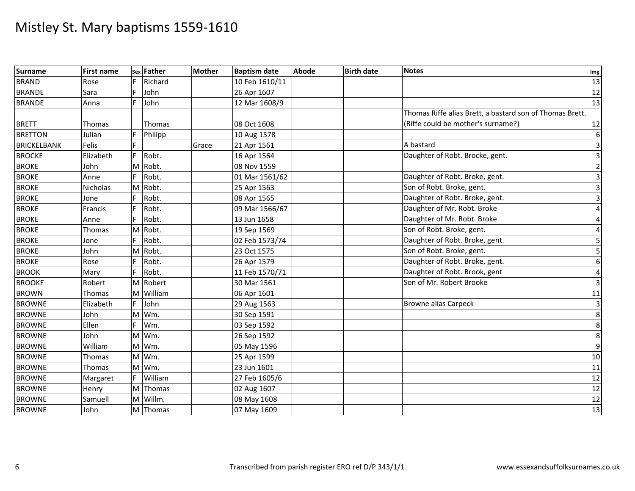| <b>Surname</b>     | <b>First name</b> |    | sex Father    | <b>Mother</b> | <b>Baptism date</b> | <b>Abode</b> | <b>Birth date</b> | <b>Notes</b>                                             | Img                     |
|--------------------|-------------------|----|---------------|---------------|---------------------|--------------|-------------------|----------------------------------------------------------|-------------------------|
| <b>BRAND</b>       | Rose              | F  | Richard       |               | 10 Feb 1610/11      |              |                   |                                                          | 13                      |
| <b>BRANDE</b>      | Sara              |    | John          |               | 26 Apr 1607         |              |                   |                                                          | 12                      |
| <b>BRANDE</b>      | Anna              | F  | John          |               | 12 Mar 1608/9       |              |                   |                                                          | 13                      |
|                    |                   |    |               |               |                     |              |                   | Thomas Riffe alias Brett, a bastard son of Thomas Brett. |                         |
| <b>BRETT</b>       | <b>Thomas</b>     |    | <b>Thomas</b> |               | 08 Oct 1608         |              |                   | (Riffe could be mother's surname?)                       | 12                      |
| <b>BRETTON</b>     | Julian            |    | Philipp       |               | 10 Aug 1578         |              |                   |                                                          | 6                       |
| <b>BRICKELBANK</b> | Felis             |    |               | Grace         | 21 Apr 1561         |              |                   | A bastard                                                | $\overline{\mathbf{3}}$ |
| <b>BROCKE</b>      | Elizabeth         |    | Robt.         |               | 16 Apr 1564         |              |                   | Daughter of Robt. Brocke, gent.                          | $\overline{3}$          |
| <b>BROKE</b>       | John              | M  | Robt.         |               | 08 Nov 1559         |              |                   |                                                          | $\overline{2}$          |
| <b>BROKE</b>       | Anne              |    | Robt.         |               | 01 Mar 1561/62      |              |                   | Daughter of Robt. Broke, gent.                           | $\overline{\mathbf{3}}$ |
| <b>BROKE</b>       | Nicholas          |    | M Robt.       |               | 25 Apr 1563         |              |                   | Son of Robt. Broke, gent.                                | $\overline{\mathbf{3}}$ |
| <b>BROKE</b>       | Jone              |    | Robt.         |               | 08 Apr 1565         |              |                   | Daughter of Robt. Broke, gent.                           | $\overline{\mathbf{3}}$ |
| <b>BROKE</b>       | Francis           |    | Robt.         |               | 09 Mar 1566/67      |              |                   | Daughter of Mr. Robt. Broke                              | $\overline{4}$          |
| <b>BROKE</b>       | Anne              |    | Robt.         |               | 13 Jun 1658         |              |                   | Daughter of Mr. Robt. Broke                              | 4                       |
| <b>BROKE</b>       | Thomas            |    | M Robt.       |               | 19 Sep 1569         |              |                   | Son of Robt. Broke, gent.                                | $\overline{4}$          |
| <b>BROKE</b>       | Jone              |    | Robt.         |               | 02 Feb 1573/74      |              |                   | Daughter of Robt. Broke, gent.                           | 5                       |
| <b>BROKE</b>       | John              | M  | Robt.         |               | 23 Oct 1575         |              |                   | Son of Robt. Broke, gent.                                | 5                       |
| <b>BROKE</b>       | Rose              |    | Robt.         |               | 26 Apr 1579         |              |                   | Daughter of Robt. Broke, gent.                           | 6                       |
| <b>BROOK</b>       | Mary              |    | Robt.         |               | 11 Feb 1570/71      |              |                   | Daughter of Robt. Brook, gent                            | 4                       |
| <b>BROOKE</b>      | Robert            |    | M Robert      |               | 30 Mar 1561         |              |                   | Son of Mr. Robert Brooke                                 | $\overline{3}$          |
| <b>BROWN</b>       | Thomas            | M  | William       |               | 06 Apr 1601         |              |                   |                                                          | 11                      |
| <b>BROWNE</b>      | Elizabeth         | F. | John          |               | 29 Aug 1563         |              |                   | <b>Browne alias Carpeck</b>                              | $\overline{\mathbf{3}}$ |
| <b>BROWNE</b>      | John              | M  | Wm.           |               | 30 Sep 1591         |              |                   |                                                          | 8                       |
| <b>BROWNE</b>      | Ellen             |    | Wm.           |               | 03 Sep 1592         |              |                   |                                                          | 8                       |
| <b>BROWNE</b>      | John              | M  | Wm.           |               | 26 Sep 1592         |              |                   |                                                          | 8                       |
| <b>BROWNE</b>      | William           | M  | Wm.           |               | 05 May 1596         |              |                   |                                                          | $\overline{9}$          |
| <b>BROWNE</b>      | Thomas            | M  | Wm.           |               | 25 Apr 1599         |              |                   |                                                          | 10                      |
| <b>BROWNE</b>      | Thomas            |    | M Wm.         |               | 23 Jun 1601         |              |                   |                                                          | 11                      |
| <b>BROWNE</b>      | Margaret          |    | William       |               | 27 Feb 1605/6       |              |                   |                                                          | 12                      |
| <b>BROWNE</b>      | Henry             |    | M Thomas      |               | 02 Aug 1607         |              |                   |                                                          | 12                      |
| <b>BROWNE</b>      | Samuell           | M  | Willm.        |               | 08 May 1608         |              |                   |                                                          | $\overline{12}$         |
| <b>BROWNE</b>      | John              |    | M Thomas      |               | 07 May 1609         |              |                   |                                                          | 13                      |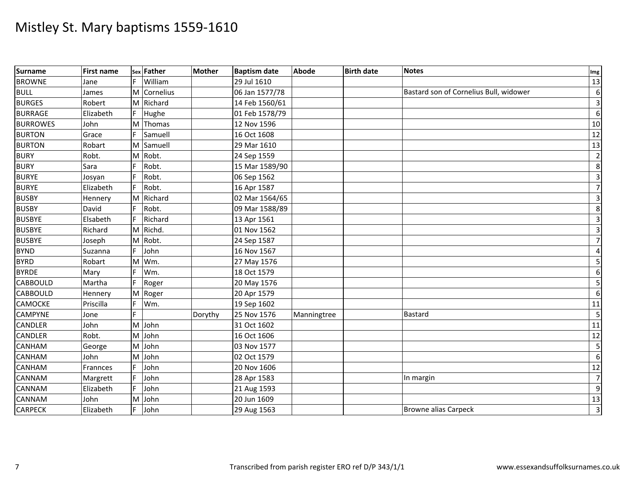| <b>Surname</b>  | <b>First name</b> |    | sex Father | <b>Mother</b> | <b>Baptism date</b> | <b>Abode</b> | <b>Birth date</b> | <b>Notes</b>                           | Img                     |
|-----------------|-------------------|----|------------|---------------|---------------------|--------------|-------------------|----------------------------------------|-------------------------|
| <b>BROWNE</b>   | Jane              |    | William    |               | 29 Jul 1610         |              |                   |                                        | 13                      |
| <b>BULL</b>     | James             | M  | Cornelius  |               | 06 Jan 1577/78      |              |                   | Bastard son of Cornelius Bull, widower | 6                       |
| <b>BURGES</b>   | Robert            |    | M Richard  |               | 14 Feb 1560/61      |              |                   |                                        | $\overline{\mathbf{3}}$ |
| <b>BURRAGE</b>  | Elizabeth         | F. | Hughe      |               | 01 Feb 1578/79      |              |                   |                                        | 6                       |
| <b>BURROWES</b> | John              | M  | Thomas     |               | 12 Nov 1596         |              |                   |                                        | 10                      |
| <b>BURTON</b>   | Grace             | F. | Samuell    |               | 16 Oct 1608         |              |                   |                                        | $\overline{12}$         |
| <b>BURTON</b>   | Robart            |    | M Samuell  |               | 29 Mar 1610         |              |                   |                                        | 13                      |
| <b>BURY</b>     | Robt.             | M  | Robt.      |               | 24 Sep 1559         |              |                   |                                        | $\overline{2}$          |
| <b>BURY</b>     | Sara              |    | Robt.      |               | 15 Mar 1589/90      |              |                   |                                        | 8                       |
| <b>BURYE</b>    | Josyan            | F. | Robt.      |               | 06 Sep 1562         |              |                   |                                        | $\overline{3}$          |
| <b>BURYE</b>    | Elizabeth         |    | Robt.      |               | 16 Apr 1587         |              |                   |                                        | $\overline{7}$          |
| <b>BUSBY</b>    | Hennery           | M  | Richard    |               | 02 Mar 1564/65      |              |                   |                                        | $\overline{\mathbf{3}}$ |
| <b>BUSBY</b>    | David             | F. | Robt.      |               | 09 Mar 1588/89      |              |                   |                                        | 8                       |
| <b>BUSBYE</b>   | Elsabeth          | F  | Richard    |               | 13 Apr 1561         |              |                   |                                        | $\overline{3}$          |
| <b>BUSBYE</b>   | Richard           |    | M Richd.   |               | 01 Nov 1562         |              |                   |                                        | $\overline{\mathbf{3}}$ |
| <b>BUSBYE</b>   | Joseph            |    | M Robt.    |               | 24 Sep 1587         |              |                   |                                        | $\overline{7}$          |
| <b>BYND</b>     | Suzanna           | F. | John       |               | 16 Nov 1567         |              |                   |                                        | 4                       |
| <b>BYRD</b>     | Robart            |    | M Wm.      |               | 27 May 1576         |              |                   |                                        | 5                       |
| <b>BYRDE</b>    | Mary              |    | Wm.        |               | 18 Oct 1579         |              |                   |                                        | 6                       |
| <b>CABBOULD</b> | Martha            |    | Roger      |               | 20 May 1576         |              |                   |                                        | 5                       |
| <b>CABBOULD</b> | Hennery           |    | M Roger    |               | 20 Apr 1579         |              |                   |                                        | $\boldsymbol{6}$        |
| CAMOCKE         | Priscilla         | F. | Wm.        |               | 19 Sep 1602         |              |                   |                                        | 11                      |
| <b>CAMPYNE</b>  | Jone              | E  |            | Dorythy       | 25 Nov 1576         | Manningtree  |                   | Bastard                                | 5                       |
| <b>CANDLER</b>  | John              |    | M John     |               | 31 Oct 1602         |              |                   |                                        | 11                      |
| <b>CANDLER</b>  | Robt.             |    | M John     |               | 16 Oct 1606         |              |                   |                                        | 12                      |
| CANHAM          | George            |    | M John     |               | 03 Nov 1577         |              |                   |                                        | 5                       |
| CANHAM          | John              |    | M John     |               | 02 Oct 1579         |              |                   |                                        | $\boldsymbol{6}$        |
| CANHAM          | Frannces          |    | John       |               | 20 Nov 1606         |              |                   |                                        | $\overline{12}$         |
| <b>CANNAM</b>   | Margrett          |    | John       |               | 28 Apr 1583         |              |                   | In margin                              | $\overline{7}$          |
| CANNAM          | Elizabeth         |    | John       |               | 21 Aug 1593         |              |                   |                                        | 9                       |
| CANNAM          | John              | M  | John       |               | 20 Jun 1609         |              |                   |                                        | 13                      |
| <b>CARPECK</b>  | Elizabeth         | F. | John       |               | 29 Aug 1563         |              |                   | <b>Browne alias Carpeck</b>            | $\overline{3}$          |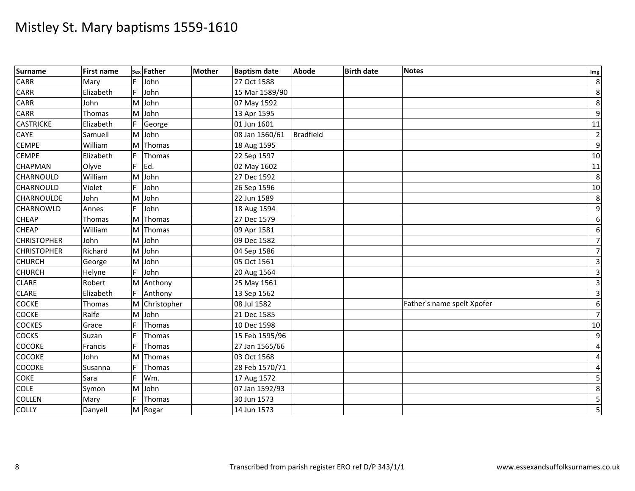| Surname            | <b>First name</b> |    | sex Father    | <b>Mother</b> | <b>Baptism date</b> | <b>Abode</b>     | <b>Birth date</b> | <b>Notes</b>               | Img                     |
|--------------------|-------------------|----|---------------|---------------|---------------------|------------------|-------------------|----------------------------|-------------------------|
| <b>CARR</b>        | Mary              | F. | John          |               | 27 Oct 1588         |                  |                   |                            | 8                       |
| <b>CARR</b>        | Elizabeth         | F. | John          |               | 15 Mar 1589/90      |                  |                   |                            | $\,8\,$                 |
| CARR               | John              | M  | John          |               | 07 May 1592         |                  |                   |                            | 8                       |
| <b>CARR</b>        | Thomas            | M  | John          |               | 13 Apr 1595         |                  |                   |                            | 9                       |
| <b>CASTRICKE</b>   | Elizabeth         | F. | George        |               | 01 Jun 1601         |                  |                   |                            | 11                      |
| CAYE               | Samuell           |    | M John        |               | 08 Jan 1560/61      | <b>Bradfield</b> |                   |                            | $\overline{2}$          |
| <b>CEMPE</b>       | William           | M  | Thomas        |               | 18 Aug 1595         |                  |                   |                            | 9                       |
| <b>CEMPE</b>       | Elizabeth         |    | Thomas        |               | 22 Sep 1597         |                  |                   |                            | 10                      |
| <b>CHAPMAN</b>     | Olyve             |    | Ed.           |               | 02 May 1602         |                  |                   |                            | $11\,$                  |
| CHARNOULD          | William           |    | M John        |               | 27 Dec 1592         |                  |                   |                            | 8                       |
| CHARNOULD          | Violet            |    | John          |               | 26 Sep 1596         |                  |                   |                            | 10                      |
| <b>CHARNOULDE</b>  | John              | M  | John          |               | 22 Jun 1589         |                  |                   |                            | 8                       |
| <b>CHARNOWLD</b>   | Annes             |    | John          |               | 18 Aug 1594         |                  |                   |                            | $\overline{9}$          |
| <b>CHEAP</b>       | Thomas            | M  | Thomas        |               | 27 Dec 1579         |                  |                   |                            | $6\,$                   |
| <b>CHEAP</b>       | William           |    | M Thomas      |               | 09 Apr 1581         |                  |                   |                            | $6\,$                   |
| <b>CHRISTOPHER</b> | John              | M  | John          |               | 09 Dec 1582         |                  |                   |                            | $\overline{7}$          |
| <b>CHRISTOPHER</b> | Richard           | M  | John          |               | 04 Sep 1586         |                  |                   |                            | $\overline{7}$          |
| <b>CHURCH</b>      | George            | M  | John          |               | 05 Oct 1561         |                  |                   |                            | $\overline{\mathbf{3}}$ |
| <b>CHURCH</b>      | Helyne            | F. | John          |               | 20 Aug 1564         |                  |                   |                            | $\mathbf{3}$            |
| <b>CLARE</b>       | Robert            | M  | Anthony       |               | 25 May 1561         |                  |                   |                            | $\overline{3}$          |
| <b>CLARE</b>       | Elizabeth         |    | Anthony       |               | 13 Sep 1562         |                  |                   |                            | $\overline{3}$          |
| <b>COCKE</b>       | Thomas            |    | M Christopher |               | 08 Jul 1582         |                  |                   | Father's name spelt Xpofer | $\boldsymbol{6}$        |
| <b>COCKE</b>       | Ralfe             |    | M John        |               | 21 Dec 1585         |                  |                   |                            | $\overline{7}$          |
| <b>COCKES</b>      | Grace             |    | Thomas        |               | 10 Dec 1598         |                  |                   |                            | 10                      |
| <b>COCKS</b>       | Suzan             |    | Thomas        |               | 15 Feb 1595/96      |                  |                   |                            | 9                       |
| <b>COCOKE</b>      | Francis           |    | Thomas        |               | 27 Jan 1565/66      |                  |                   |                            | $\overline{4}$          |
| <b>COCOKE</b>      | John              | M  | Thomas        |               | 03 Oct 1568         |                  |                   |                            | 4                       |
| COCOKE             | Susanna           |    | Thomas        |               | 28 Feb 1570/71      |                  |                   |                            | $\overline{4}$          |
| <b>COKE</b>        | Sara              |    | Wm.           |               | 17 Aug 1572         |                  |                   |                            | 5                       |
| <b>COLE</b>        | Symon             | M  | John          |               | 07 Jan 1592/93      |                  |                   |                            | $\infty$                |
| <b>COLLEN</b>      | Mary              |    | Thomas        |               | 30 Jun 1573         |                  |                   |                            | $\overline{\mathbf{5}}$ |
| <b>COLLY</b>       | Danyell           |    | M Rogar       |               | 14 Jun 1573         |                  |                   |                            | 5                       |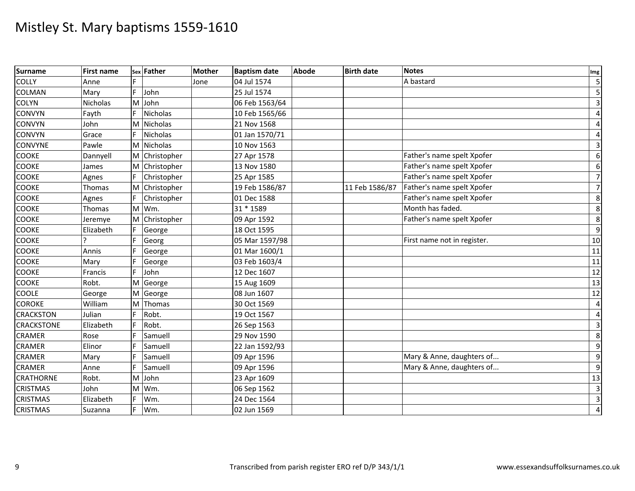| Surname           | <b>First name</b> |    | sex Father      | <b>Mother</b> | <b>Baptism date</b> | <b>Abode</b> | <b>Birth date</b> | <b>Notes</b>                | Img                     |
|-------------------|-------------------|----|-----------------|---------------|---------------------|--------------|-------------------|-----------------------------|-------------------------|
| <b>COLLY</b>      | Anne              |    |                 | Jone          | 04 Jul 1574         |              |                   | A bastard                   | $\overline{\mathbf{5}}$ |
| COLMAN            | Mary              | F. | John            |               | 25 Jul 1574         |              |                   |                             | $5 \frac{1}{2}$         |
| <b>COLYN</b>      | Nicholas          | M  | John            |               | 06 Feb 1563/64      |              |                   |                             | $\overline{3}$          |
| <b>CONVYN</b>     | Fayth             |    | Nicholas        |               | 10 Feb 1565/66      |              |                   |                             | $\overline{4}$          |
| <b>CONVYN</b>     | John              | M  | Nicholas        |               | 21 Nov 1568         |              |                   |                             | $\vert$                 |
| <b>CONVYN</b>     | Grace             |    | <b>Nicholas</b> |               | 01 Jan 1570/71      |              |                   |                             | $\overline{4}$          |
| <b>CONVYNE</b>    | Pawle             |    | M Nicholas      |               | 10 Nov 1563         |              |                   |                             | $\overline{3}$          |
| <b>COOKE</b>      | Dannyell          |    | M Christopher   |               | 27 Apr 1578         |              |                   | Father's name spelt Xpofer  | $6 \overline{6}$        |
| <b>COOKE</b>      | James             | M  | Christopher     |               | 13 Nov 1580         |              |                   | Father's name spelt Xpofer  | $6 \mid$                |
| <b>COOKE</b>      | Agnes             |    | Christopher     |               | 25 Apr 1585         |              |                   | Father's name spelt Xpofer  | $\overline{7}$          |
| COOKE             | Thomas            | ΙM | Christopher     |               | 19 Feb 1586/87      |              | 11 Feb 1586/87    | Father's name spelt Xpofer  | $\overline{7}$          |
| <b>COOKE</b>      | Agnes             |    | Christopher     |               | 01 Dec 1588         |              |                   | Father's name spelt Xpofer  | 8                       |
| COOKE             | Thomas            | M  | Wm.             |               | 31 * 1589           |              |                   | Month has faded.            | 8                       |
| <b>COOKE</b>      | Jeremye           | M  | Christopher     |               | 09 Apr 1592         |              |                   | Father's name spelt Xpofer  | 8                       |
| <b>COOKE</b>      | Elizabeth         |    | George          |               | 18 Oct 1595         |              |                   |                             | $\overline{9}$          |
| <b>COOKE</b>      |                   |    | Georg           |               | 05 Mar 1597/98      |              |                   | First name not in register. | 10                      |
| <b>COOKE</b>      | Annis             |    | George          |               | 01 Mar 1600/1       |              |                   |                             | 11                      |
| <b>COOKE</b>      | Mary              |    | George          |               | 03 Feb 1603/4       |              |                   |                             | 11                      |
| <b>COOKE</b>      | Francis           |    | John            |               | 12 Dec 1607         |              |                   |                             | 12                      |
| <b>COOKE</b>      | Robt.             | ΙM | George          |               | 15 Aug 1609         |              |                   |                             | 13                      |
| <b>COOLE</b>      | George            | M  | George          |               | 08 Jun 1607         |              |                   |                             | 12                      |
| <b>COROKE</b>     | William           | M  | Thomas          |               | 30 Oct 1569         |              |                   |                             | $\overline{4}$          |
| <b>CRACKSTON</b>  | Julian            |    | Robt.           |               | 19 Oct 1567         |              |                   |                             | $\overline{4}$          |
| <b>CRACKSTONE</b> | Elizabeth         |    | Robt.           |               | 26 Sep 1563         |              |                   |                             | $\overline{3}$          |
| <b>CRAMER</b>     | Rose              |    | Samuell         |               | 29 Nov 1590         |              |                   |                             | 8                       |
| <b>CRAMER</b>     | Elinor            |    | Samuell         |               | 22 Jan 1592/93      |              |                   |                             | 9                       |
| <b>CRAMER</b>     | Mary              |    | Samuell         |               | 09 Apr 1596         |              |                   | Mary & Anne, daughters of   | $\overline{9}$          |
| <b>CRAMER</b>     | Anne              |    | Samuell         |               | 09 Apr 1596         |              |                   | Mary & Anne, daughters of   | $\overline{9}$          |
| <b>CRATHORNE</b>  | Robt.             | M  | John            |               | 23 Apr 1609         |              |                   |                             | 13                      |
| <b>CRISTMAS</b>   | John              | M  | Wm.             |               | 06 Sep 1562         |              |                   |                             | $\overline{3}$          |
| <b>CRISTMAS</b>   | Elizabeth         |    | Wm.             |               | 24 Dec 1564         |              |                   |                             | $\overline{3}$          |
| <b>CRISTMAS</b>   | Suzanna           |    | Wm.             |               | 02 Jun 1569         |              |                   |                             | $\overline{4}$          |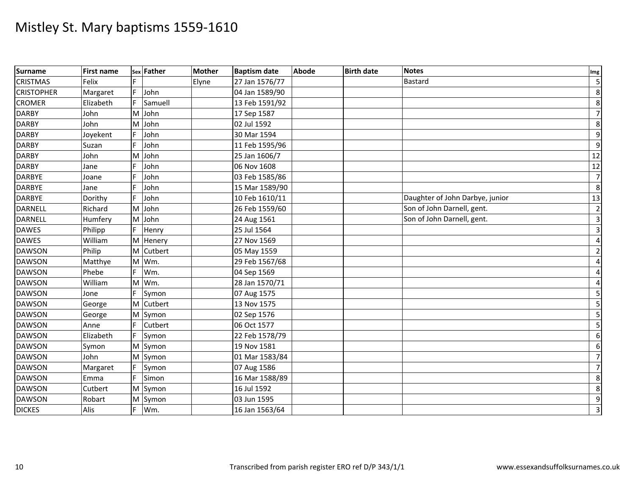| Surname           | <b>First name</b> |    | sex Father | <b>Mother</b> | <b>Baptism date</b> | <b>Abode</b> | <b>Birth date</b> | <b>Notes</b>                    | Img                     |
|-------------------|-------------------|----|------------|---------------|---------------------|--------------|-------------------|---------------------------------|-------------------------|
| <b>CRISTMAS</b>   | Felix             |    |            | Elyne         | 27 Jan 1576/77      |              |                   | <b>Bastard</b>                  | $\overline{\mathbf{5}}$ |
| <b>CRISTOPHER</b> | Margaret          | F. | John       |               | 04 Jan 1589/90      |              |                   |                                 | $\,8\,$                 |
| <b>CROMER</b>     | Elizabeth         |    | Samuell    |               | 13 Feb 1591/92      |              |                   |                                 | $\,8\,$                 |
| <b>DARBY</b>      | John              | M  | John       |               | 17 Sep 1587         |              |                   |                                 | 7                       |
| <b>DARBY</b>      | John              | M  | John       |               | 02 Jul 1592         |              |                   |                                 | $\,8\,$                 |
| <b>DARBY</b>      | Joyekent          | F. | John       |               | 30 Mar 1594         |              |                   |                                 | 9                       |
| <b>DARBY</b>      | Suzan             |    | John       |               | 11 Feb 1595/96      |              |                   |                                 | $9\,$                   |
| <b>DARBY</b>      | John              | M  | John       |               | 25 Jan 1606/7       |              |                   |                                 | 12                      |
| <b>DARBY</b>      | Jane              |    | John       |               | 06 Nov 1608         |              |                   |                                 | $\overline{12}$         |
| <b>DARBYE</b>     | Joane             |    | John       |               | 03 Feb 1585/86      |              |                   |                                 | $\overline{7}$          |
| <b>DARBYE</b>     | Jane              |    | John       |               | 15 Mar 1589/90      |              |                   |                                 | $\,8$                   |
| <b>DARBYE</b>     | Dorithy           |    | John       |               | 10 Feb 1610/11      |              |                   | Daughter of John Darbye, junior | 13                      |
| DARNELL           | Richard           |    | M John     |               | 26 Feb 1559/60      |              |                   | Son of John Darnell, gent.      | $\overline{2}$          |
| DARNELL           | Humfery           |    | M John     |               | 24 Aug 1561         |              |                   | Son of John Darnell, gent.      | $\overline{3}$          |
| <b>DAWES</b>      | Philipp           |    | Henry      |               | 25 Jul 1564         |              |                   |                                 | $\overline{3}$          |
| <b>DAWES</b>      | William           |    | M Henery   |               | 27 Nov 1569         |              |                   |                                 | $\overline{4}$          |
| <b>DAWSON</b>     | Philip            | M  | Cutbert    |               | 05 May 1559         |              |                   |                                 | $\overline{2}$          |
| <b>DAWSON</b>     | Matthye           |    | M Wm.      |               | 29 Feb 1567/68      |              |                   |                                 | $\overline{4}$          |
| <b>DAWSON</b>     | Phebe             |    | Wm.        |               | 04 Sep 1569         |              |                   |                                 | 4                       |
| <b>DAWSON</b>     | William           | M  | Wm.        |               | 28 Jan 1570/71      |              |                   |                                 | $\overline{a}$          |
| <b>DAWSON</b>     | Jone              | F  | Symon      |               | 07 Aug 1575         |              |                   |                                 | 5                       |
| <b>DAWSON</b>     | George            |    | M Cutbert  |               | 13 Nov 1575         |              |                   |                                 | 5                       |
| <b>DAWSON</b>     | George            | M  | Symon      |               | 02 Sep 1576         |              |                   |                                 | 5                       |
| <b>DAWSON</b>     | Anne              |    | Cutbert    |               | 06 Oct 1577         |              |                   |                                 | $\overline{5}$          |
| <b>DAWSON</b>     | Elizabeth         | F. | Symon      |               | 22 Feb 1578/79      |              |                   |                                 | 6                       |
| <b>DAWSON</b>     | Symon             |    | M Symon    |               | 19 Nov 1581         |              |                   |                                 | 6                       |
| <b>DAWSON</b>     | John              | M  | Symon      |               | 01 Mar 1583/84      |              |                   |                                 | $\overline{7}$          |
| <b>DAWSON</b>     | Margaret          |    | Symon      |               | 07 Aug 1586         |              |                   |                                 | $\overline{7}$          |
| <b>DAWSON</b>     | Emma              | F. | Simon      |               | 16 Mar 1588/89      |              |                   |                                 | $\,8\,$                 |
| <b>DAWSON</b>     | Cutbert           |    | M Symon    |               | 16 Jul 1592         |              |                   |                                 | 8                       |
| <b>DAWSON</b>     | Robart            |    | M Symon    |               | 03 Jun 1595         |              |                   |                                 | 9                       |
| <b>DICKES</b>     | Alis              | F. | Wm.        |               | 16 Jan 1563/64      |              |                   |                                 | $\overline{\mathbf{3}}$ |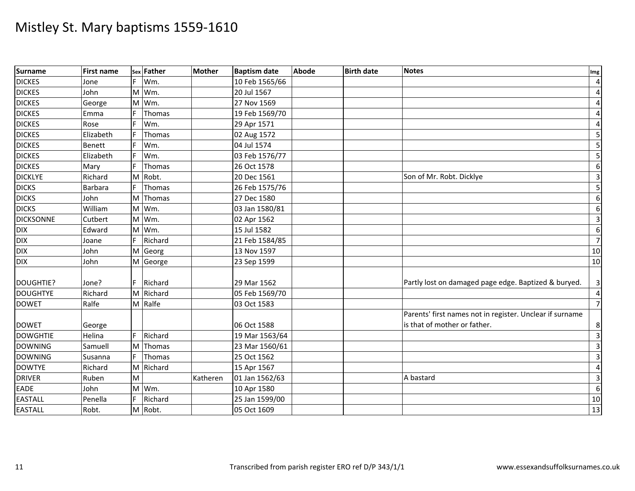| Surname          | <b>First name</b> | Sex | Father    | Mother   | <b>Baptism date</b> | Abode | <b>Birth date</b> | <b>Notes</b>                                             | Img                     |
|------------------|-------------------|-----|-----------|----------|---------------------|-------|-------------------|----------------------------------------------------------|-------------------------|
| <b>DICKES</b>    | Jone              |     | Wm.       |          | 10 Feb 1565/66      |       |                   |                                                          | $\overline{4}$          |
| <b>DICKES</b>    | John              |     | M Wm.     |          | 20 Jul 1567         |       |                   |                                                          | $\overline{4}$          |
| <b>DICKES</b>    | George            | M   | Wm.       |          | 27 Nov 1569         |       |                   |                                                          | 4                       |
| <b>DICKES</b>    | Emma              |     | Thomas    |          | 19 Feb 1569/70      |       |                   |                                                          | $\overline{a}$          |
| <b>DICKES</b>    | Rose              |     | Wm.       |          | 29 Apr 1571         |       |                   |                                                          | 4                       |
| <b>DICKES</b>    | Elizabeth         |     | Thomas    |          | 02 Aug 1572         |       |                   |                                                          | 5                       |
| <b>DICKES</b>    | <b>Benett</b>     | F.  | Wm.       |          | 04 Jul 1574         |       |                   |                                                          | $\overline{5}$          |
| <b>DICKES</b>    | Elizabeth         |     | Wm.       |          | 03 Feb 1576/77      |       |                   |                                                          | $\overline{5}$          |
| <b>DICKES</b>    | Mary              |     | Thomas    |          | 26 Oct 1578         |       |                   |                                                          | $6\,$                   |
| <b>DICKLYE</b>   | Richard           | M   | Robt.     |          | 20 Dec 1561         |       |                   | Son of Mr. Robt. Dicklye                                 | $\mathsf{3}$            |
| <b>DICKS</b>     | <b>Barbara</b>    | F.  | Thomas    |          | 26 Feb 1575/76      |       |                   |                                                          | 5                       |
| <b>DICKS</b>     | John              | M   | Thomas    |          | 27 Dec 1580         |       |                   |                                                          | 6                       |
| <b>DICKS</b>     | William           | M   | Wm.       |          | 03 Jan 1580/81      |       |                   |                                                          | $6 \mid$                |
| <b>DICKSONNE</b> | Cutbert           | M   | Wm.       |          | 02 Apr 1562         |       |                   |                                                          | $\overline{3}$          |
| <b>DIX</b>       | Edward            |     | M Wm.     |          | 15 Jul 1582         |       |                   |                                                          | 6                       |
| <b>DIX</b>       | Joane             |     | Richard   |          | 21 Feb 1584/85      |       |                   |                                                          | $\overline{7}$          |
| <b>DIX</b>       | John              | M   | Georg     |          | 13 Nov 1597         |       |                   |                                                          | 10                      |
| <b>DIX</b>       | John              |     | M George  |          | 23 Sep 1599         |       |                   |                                                          | 10                      |
|                  |                   |     |           |          |                     |       |                   |                                                          |                         |
| DOUGHTIE?        | Jone?             |     | Richard   |          | 29 Mar 1562         |       |                   | Partly lost on damaged page edge. Baptized & buryed.     | $\overline{\mathbf{3}}$ |
| <b>DOUGHTYE</b>  | Richard           |     | M Richard |          | 05 Feb 1569/70      |       |                   |                                                          | $\overline{4}$          |
| <b>DOWET</b>     | Ralfe             |     | M Ralfe   |          | 03 Oct 1583         |       |                   |                                                          | $7\overline{}$          |
|                  |                   |     |           |          |                     |       |                   | Parents' first names not in register. Unclear if surname |                         |
| <b>DOWET</b>     | George            |     |           |          | 06 Oct 1588         |       |                   | is that of mother or father.                             | 8 <sup>°</sup>          |
| <b>DOWGHTIE</b>  | Helina            |     | Richard   |          | 19 Mar 1563/64      |       |                   |                                                          | $\overline{3}$          |
| <b>DOWNING</b>   | Samuell           | M   | Thomas    |          | 23 Mar 1560/61      |       |                   |                                                          | $\overline{3}$          |
| <b>DOWNING</b>   | Susanna           | F.  | Thomas    |          | 25 Oct 1562         |       |                   |                                                          | $\mathbf{3}$            |
| <b>DOWTYE</b>    | Richard           |     | M Richard |          | 15 Apr 1567         |       |                   |                                                          | $\overline{4}$          |
| <b>DRIVER</b>    | Ruben             | M   |           | Katheren | 01 Jan 1562/63      |       |                   | A bastard                                                | 3                       |
| EADE             | John              | M   | Wm.       |          | 10 Apr 1580         |       |                   |                                                          | 6                       |
| <b>EASTALL</b>   | Penella           | F.  | Richard   |          | 25 Jan 1599/00      |       |                   |                                                          | 10                      |
| <b>EASTALL</b>   | Robt.             |     | M Robt.   |          | 05 Oct 1609         |       |                   |                                                          | 13                      |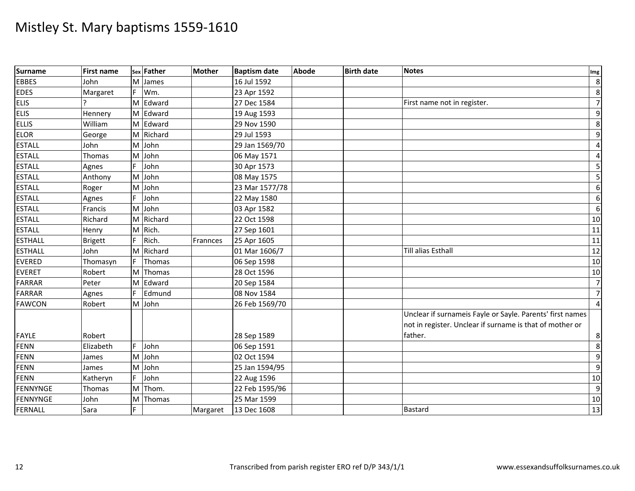| Surname        | <b>First name</b> |         | sex Father | <b>Mother</b> | <b>Baptism date</b> | Abode | <b>Birth date</b> | <b>Notes</b>                                                                                                          | Img            |
|----------------|-------------------|---------|------------|---------------|---------------------|-------|-------------------|-----------------------------------------------------------------------------------------------------------------------|----------------|
| <b>EBBES</b>   | John              | M       | James      |               | 16 Jul 1592         |       |                   |                                                                                                                       | 8              |
| <b>EDES</b>    | Margaret          | F.      | Wm.        |               | 23 Apr 1592         |       |                   |                                                                                                                       | 8              |
| <b>ELIS</b>    |                   | M       | Edward     |               | 27 Dec 1584         |       |                   | First name not in register.                                                                                           | $\overline{7}$ |
| <b>ELIS</b>    | Hennery           |         | M Edward   |               | 19 Aug 1593         |       |                   |                                                                                                                       | 9              |
| <b>ELLIS</b>   | William           | M       | Edward     |               | 29 Nov 1590         |       |                   |                                                                                                                       | 8              |
| <b>ELOR</b>    | George            |         | M Richard  |               | 29 Jul 1593         |       |                   |                                                                                                                       | 9              |
| <b>ESTALL</b>  | John              | M       | John       |               | 29 Jan 1569/70      |       |                   |                                                                                                                       | $\overline{4}$ |
| <b>ESTALL</b>  | Thomas            | M       | John       |               | 06 May 1571         |       |                   |                                                                                                                       | $\overline{a}$ |
| <b>ESTALL</b>  | Agnes             |         | John       |               | 30 Apr 1573         |       |                   |                                                                                                                       | 5 <sub>l</sub> |
| <b>ESTALL</b>  | Anthony           |         | M John     |               | 08 May 1575         |       |                   |                                                                                                                       | 5              |
| <b>ESTALL</b>  | Roger             | M       | John       |               | 23 Mar 1577/78      |       |                   |                                                                                                                       | $6 \mid$       |
| <b>ESTALL</b>  | Agnes             | F.      | John       |               | 22 May 1580         |       |                   |                                                                                                                       | $6 \mid$       |
| <b>ESTALL</b>  | Francis           |         | M John     |               | 03 Apr 1582         |       |                   |                                                                                                                       | $6 \mid$       |
| <b>ESTALL</b>  | Richard           |         | M Richard  |               | 22 Oct 1598         |       |                   |                                                                                                                       | 10             |
| <b>ESTALL</b>  | Henry             | M       | Rich.      |               | 27 Sep 1601         |       |                   |                                                                                                                       | 11             |
| <b>ESTHALL</b> | <b>Brigett</b>    |         | Rich.      | Frannces      | 25 Apr 1605         |       |                   |                                                                                                                       | 11             |
| <b>ESTHALL</b> | John              |         | M Richard  |               | 01 Mar 1606/7       |       |                   | <b>Till alias Esthall</b>                                                                                             | 12             |
| <b>EVERED</b>  | Thomasyn          | F.      | Thomas     |               | 06 Sep 1598         |       |                   |                                                                                                                       | 10             |
| <b>EVERET</b>  | Robert            | M       | Thomas     |               | 28 Oct 1596         |       |                   |                                                                                                                       | 10             |
| <b>FARRAR</b>  | Peter             | м       | Edward     |               | 20 Sep 1584         |       |                   |                                                                                                                       | $\overline{7}$ |
| <b>FARRAR</b>  | Agnes             | F.      | Edmund     |               | 08 Nov 1584         |       |                   |                                                                                                                       | $\overline{7}$ |
| <b>FAWCON</b>  | Robert            |         | M John     |               | 26 Feb 1569/70      |       |                   |                                                                                                                       | $\overline{4}$ |
|                |                   |         |            |               |                     |       |                   | Unclear if surnameis Fayle or Sayle. Parents' first names<br>not in register. Unclear if surname is that of mother or |                |
| <b>FAYLE</b>   | Robert            | F.      |            |               | 28 Sep 1589         |       |                   | father.                                                                                                               | 8              |
| FENN           | Elizabeth         |         | John       |               | 06 Sep 1591         |       |                   |                                                                                                                       | 8              |
| <b>FENN</b>    | James             | M       | John       |               | 02 Oct 1594         |       |                   |                                                                                                                       | 9              |
| <b>FENN</b>    | James             | M<br>F. | John       |               | 25 Jan 1594/95      |       |                   |                                                                                                                       | 9              |
| <b>FENN</b>    | Katheryn          |         | John       |               | 22 Aug 1596         |       |                   |                                                                                                                       | 10             |
| FENNYNGE       | Thomas            |         | M Thom.    |               | 22 Feb 1595/96      |       |                   |                                                                                                                       | $\overline{9}$ |
| FENNYNGE       | John              | M       | Thomas     |               | 25 Mar 1599         |       |                   |                                                                                                                       | 10             |
| FERNALL        | Sara              |         |            | Margaret      | 13 Dec 1608         |       |                   | <b>Bastard</b>                                                                                                        | 13             |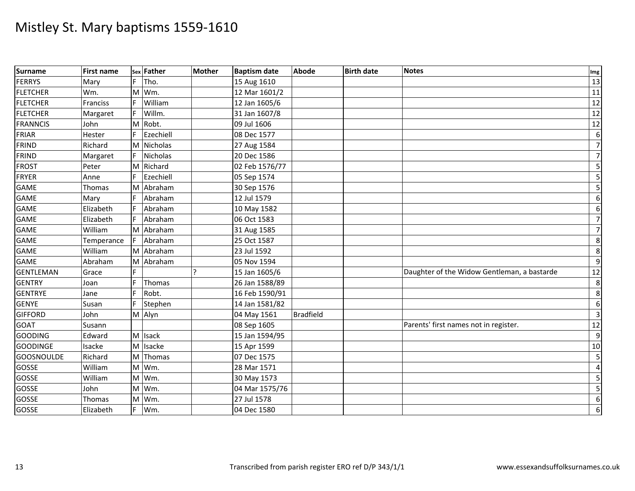| Surname           | <b>First name</b> |    | sex Father      | <b>Mother</b> | <b>Baptism date</b> | <b>Abode</b>     | <b>Birth date</b> | <b>Notes</b>                                | Img              |
|-------------------|-------------------|----|-----------------|---------------|---------------------|------------------|-------------------|---------------------------------------------|------------------|
| FERRYS            | Mary              | F. | Tho.            |               | 15 Aug 1610         |                  |                   |                                             | 13               |
| <b>FLETCHER</b>   | Wm.               | M  | Wm.             |               | 12 Mar 1601/2       |                  |                   |                                             | 11               |
| <b>FLETCHER</b>   | Franciss          |    | William         |               | 12 Jan 1605/6       |                  |                   |                                             | 12               |
| <b>FLETCHER</b>   | Margaret          |    | Willm.          |               | 31 Jan 1607/8       |                  |                   |                                             | 12               |
| <b>FRANNCIS</b>   | John              |    | M Robt.         |               | 09 Jul 1606         |                  |                   |                                             | 12               |
| FRIAR             | Hester            |    | Ezechiell       |               | 08 Dec 1577         |                  |                   |                                             | $6 \mid$         |
| FRIND             | Richard           | M  | Nicholas        |               | 27 Aug 1584         |                  |                   |                                             | $\overline{7}$   |
| <b>FRIND</b>      | Margaret          |    | <b>Nicholas</b> |               | 20 Dec 1586         |                  |                   |                                             | $\overline{7}$   |
| <b>FROST</b>      | Peter             |    | M Richard       |               | 02 Feb 1576/77      |                  |                   |                                             | 5                |
| <b>FRYER</b>      | Anne              |    | Ezechiell       |               | 05 Sep 1574         |                  |                   |                                             | $5 \frac{1}{2}$  |
| <b>GAME</b>       | Thomas            | ΙM | Abraham         |               | 30 Sep 1576         |                  |                   |                                             | 5 <sub>l</sub>   |
| <b>GAME</b>       | Mary              |    | Abraham         |               | 12 Jul 1579         |                  |                   |                                             | $6 \mid$         |
| <b>GAME</b>       | Elizabeth         |    | Abraham         |               | 10 May 1582         |                  |                   |                                             | $6 \mid$         |
| <b>GAME</b>       | Elizabeth         | F. | Abraham         |               | 06 Oct 1583         |                  |                   |                                             | $\overline{7}$   |
| <b>GAME</b>       | William           | M  | Abraham         |               | 31 Aug 1585         |                  |                   |                                             | $\overline{7}$   |
| <b>GAME</b>       | Temperance        |    | Abraham         |               | 25 Oct 1587         |                  |                   |                                             | 8                |
| <b>GAME</b>       | William           |    | M Abraham       |               | 23 Jul 1592         |                  |                   |                                             | 8                |
| GAME              | Abraham           | M  | Abraham         |               | 05 Nov 1594         |                  |                   |                                             | 9                |
| <b>GENTLEMAN</b>  | Grace             |    |                 |               | 15 Jan 1605/6       |                  |                   | Daughter of the Widow Gentleman, a bastarde | 12               |
| <b>GENTRY</b>     | Joan              |    | Thomas          |               | 26 Jan 1588/89      |                  |                   |                                             | 8                |
| <b>GENTRYE</b>    | Jane              |    | Robt.           |               | 16 Feb 1590/91      |                  |                   |                                             | 8                |
| <b>GENYE</b>      | Susan             | F  | Stephen         |               | 14 Jan 1581/82      |                  |                   |                                             | $6 \mid$         |
| <b>GIFFORD</b>    | John              |    | M Alyn          |               | 04 May 1561         | <b>Bradfield</b> |                   |                                             | $\overline{3}$   |
| <b>GOAT</b>       | Susann            |    |                 |               | 08 Sep 1605         |                  |                   | Parents' first names not in register.       | 12               |
| GOODING           | Edward            |    | M Isack         |               | $15$ Jan 1594/95    |                  |                   |                                             | 9                |
| <b>GOODINGE</b>   | Isacke            |    | M Isacke        |               | 15 Apr 1599         |                  |                   |                                             | 10               |
| <b>GOOSNOULDE</b> | Richard           | M  | Thomas          |               | 07 Dec 1575         |                  |                   |                                             | 5                |
| GOSSE             | William           |    | M Wm.           |               | 28 Mar 1571         |                  |                   |                                             | $\overline{a}$   |
| GOSSE             | William           |    | M Wm.           |               | 30 May 1573         |                  |                   |                                             | $5 \frac{1}{2}$  |
| <b>GOSSE</b>      | John              |    | M Wm.           |               | 04 Mar 1575/76      |                  |                   |                                             | $5 \frac{1}{2}$  |
| <b>GOSSE</b>      | Thomas            | M  | Wm.             |               | 27 Jul 1578         |                  |                   |                                             | $6 \overline{6}$ |
| GOSSE             | Elizabeth         | F. | Wm.             |               | 04 Dec 1580         |                  |                   |                                             | $6 \mid$         |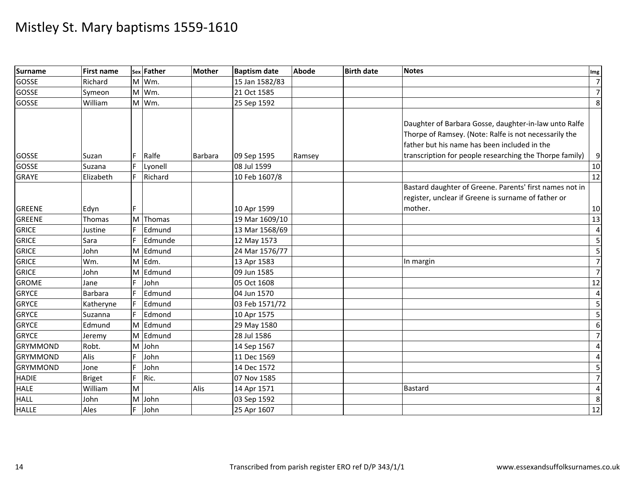| Surname         | <b>First name</b> |    | sex Father | <b>Mother</b>  | <b>Baptism date</b> | Abode  | <b>Birth date</b> | <b>Notes</b>                                                                                                                                                   | Img             |
|-----------------|-------------------|----|------------|----------------|---------------------|--------|-------------------|----------------------------------------------------------------------------------------------------------------------------------------------------------------|-----------------|
| GOSSE           | Richard           |    | M Wm.      |                | 15 Jan 1582/83      |        |                   |                                                                                                                                                                | $\overline{7}$  |
| GOSSE           | Symeon            |    | M Wm.      |                | 21 Oct 1585         |        |                   |                                                                                                                                                                | $\overline{7}$  |
| GOSSE           | William           |    | M Wm.      |                | 25 Sep 1592         |        |                   |                                                                                                                                                                | 8               |
|                 |                   |    |            |                |                     |        |                   | Daughter of Barbara Gosse, daughter-in-law unto Ralfe<br>Thorpe of Ramsey. (Note: Ralfe is not necessarily the<br>father but his name has been included in the |                 |
| GOSSE           | Suzan             |    | Ralfe      | <b>Barbara</b> | 09 Sep 1595         | Ramsey |                   | transcription for people researching the Thorpe family)                                                                                                        | $\overline{9}$  |
| <b>GOSSE</b>    | Suzana            |    | Lyonell    |                | 08 Jul 1599         |        |                   |                                                                                                                                                                | 10              |
| <b>GRAYE</b>    | Elizabeth         | F. | Richard    |                | 10 Feb 1607/8       |        |                   |                                                                                                                                                                | 12              |
| <b>GREENE</b>   | Edyn              | F. |            |                | 10 Apr 1599         |        |                   | Bastard daughter of Greene. Parents' first names not in<br>register, unclear if Greene is surname of father or<br>mother.                                      | 10              |
| <b>GREENE</b>   | Thomas            |    | M Thomas   |                | 19 Mar 1609/10      |        |                   |                                                                                                                                                                | 13              |
| <b>GRICE</b>    | Justine           |    | Edmund     |                | 13 Mar 1568/69      |        |                   |                                                                                                                                                                | $\overline{a}$  |
| <b>GRICE</b>    | Sara              |    | Edmunde    |                | 12 May 1573         |        |                   |                                                                                                                                                                | 5               |
| <b>GRICE</b>    | John              | M  | Edmund     |                | 24 Mar 1576/77      |        |                   |                                                                                                                                                                | 5               |
| <b>GRICE</b>    | Wm.               |    | M Edm.     |                | 13 Apr 1583         |        |                   | In margin                                                                                                                                                      | $\overline{7}$  |
| <b>GRICE</b>    | John              | M  | Edmund     |                | 09 Jun 1585         |        |                   |                                                                                                                                                                | $\overline{7}$  |
| <b>GROME</b>    | Jane              |    | John       |                | 05 Oct 1608         |        |                   |                                                                                                                                                                | 12              |
| <b>GRYCE</b>    | <b>Barbara</b>    | F. | Edmund     |                | 04 Jun 1570         |        |                   |                                                                                                                                                                | $\overline{a}$  |
| <b>GRYCE</b>    | Katheryne         | F. | Edmund     |                | 03 Feb 1571/72      |        |                   |                                                                                                                                                                | $5 \frac{1}{2}$ |
| <b>GRYCE</b>    | Suzanna           |    | Edmond     |                | 10 Apr 1575         |        |                   |                                                                                                                                                                | 5               |
| <b>GRYCE</b>    | Edmund            |    | M Edmund   |                | 29 May 1580         |        |                   |                                                                                                                                                                | $6 \mid$        |
| <b>GRYCE</b>    | Jeremy            | M  | Edmund     |                | 28 Jul 1586         |        |                   |                                                                                                                                                                | $\overline{7}$  |
| <b>GRYMMOND</b> | Robt.             |    | M John     |                | 14 Sep 1567         |        |                   |                                                                                                                                                                | $\overline{4}$  |
| <b>GRYMMOND</b> | Alis              |    | John       |                | 11 Dec 1569         |        |                   |                                                                                                                                                                | $\overline{4}$  |
| <b>GRYMMOND</b> | Jone              |    | John       |                | 14 Dec 1572         |        |                   |                                                                                                                                                                | 5               |
| <b>HADIE</b>    | <b>Briget</b>     | F. | Ric.       |                | 07 Nov 1585         |        |                   |                                                                                                                                                                | $\overline{7}$  |
| <b>HALE</b>     | William           | M  |            | Alis           | 14 Apr 1571         |        |                   | Bastard                                                                                                                                                        | $\overline{4}$  |
| <b>HALL</b>     | John              | M  | John       |                | 03 Sep 1592         |        |                   |                                                                                                                                                                | 8               |
| <b>HALLE</b>    | Ales              | F. | John       |                | 25 Apr 1607         |        |                   |                                                                                                                                                                | 12              |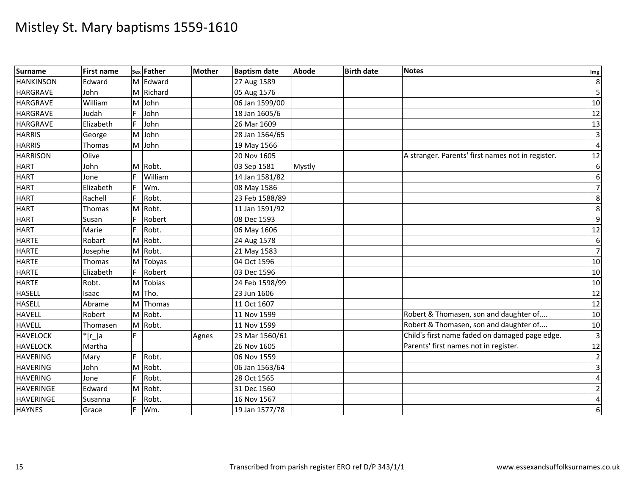| <b>Surname</b>   | <b>First name</b> |    | sex Father | <b>Mother</b> | <b>Baptism date</b> | Abode  | <b>Birth date</b> | <b>Notes</b>                                      | Img                     |
|------------------|-------------------|----|------------|---------------|---------------------|--------|-------------------|---------------------------------------------------|-------------------------|
| <b>HANKINSON</b> | Edward            |    | M Edward   |               | 27 Aug 1589         |        |                   |                                                   | $\,8\,$                 |
| <b>HARGRAVE</b>  | John              |    | M Richard  |               | 05 Aug 1576         |        |                   |                                                   | 5                       |
| <b>HARGRAVE</b>  | William           | M  | John       |               | 06 Jan 1599/00      |        |                   |                                                   | 10                      |
| <b>HARGRAVE</b>  | Judah             |    | John       |               | 18 Jan 1605/6       |        |                   |                                                   | $\overline{12}$         |
| <b>HARGRAVE</b>  | Elizabeth         |    | John       |               | 26 Mar 1609         |        |                   |                                                   | $\overline{13}$         |
| <b>HARRIS</b>    | George            |    | M John     |               | 28 Jan 1564/65      |        |                   |                                                   | $\overline{3}$          |
| <b>HARRIS</b>    | Thomas            |    | M John     |               | 19 May 1566         |        |                   |                                                   | $\overline{4}$          |
| <b>HARRISON</b>  | Olive             |    |            |               | 20 Nov 1605         |        |                   | A stranger. Parents' first names not in register. | 12                      |
| <b>HART</b>      | John              |    | M Robt.    |               | 03 Sep 1581         | Mystly |                   |                                                   | 6                       |
| <b>HART</b>      | Jone              |    | William    |               | 14 Jan 1581/82      |        |                   |                                                   | $\boldsymbol{6}$        |
| <b>HART</b>      | Elizabeth         |    | Wm.        |               | 08 May 1586         |        |                   |                                                   | $\overline{7}$          |
| <b>HART</b>      | Rachell           | F  | Robt.      |               | 23 Feb 1588/89      |        |                   |                                                   | $\,8\,$                 |
| <b>HART</b>      | Thomas            |    | M Robt.    |               | 11 Jan 1591/92      |        |                   |                                                   | 8                       |
| <b>HART</b>      | Susan             |    | Robert     |               | 08 Dec 1593         |        |                   |                                                   | $\overline{9}$          |
| <b>HART</b>      | Marie             |    | Robt.      |               | 06 May 1606         |        |                   |                                                   | 12                      |
| <b>HARTE</b>     | Robart            |    | M Robt.    |               | 24 Aug 1578         |        |                   |                                                   | $\boldsymbol{6}$        |
| <b>HARTE</b>     | Josephe           |    | M Robt.    |               | 21 May 1583         |        |                   |                                                   | $\overline{7}$          |
| <b>HARTE</b>     | Thomas            |    | M Tobyas   |               | 04 Oct 1596         |        |                   |                                                   | 10                      |
| <b>HARTE</b>     | Elizabeth         |    | Robert     |               | 03 Dec 1596         |        |                   |                                                   | 10                      |
| <b>HARTE</b>     | Robt.             |    | M Tobias   |               | 24 Feb 1598/99      |        |                   |                                                   | $10\,$                  |
| <b>HASELL</b>    | Isaac             |    | M Tho.     |               | 23 Jun 1606         |        |                   |                                                   | $\overline{12}$         |
| <b>HASELL</b>    | Abrame            |    | M Thomas   |               | 11 Oct 1607         |        |                   |                                                   | 12                      |
| <b>HAVELL</b>    | Robert            |    | M Robt.    |               | 11 Nov 1599         |        |                   | Robert & Thomasen, son and daughter of            | 10                      |
| <b>HAVELL</b>    | Thomasen          |    | M Robt.    |               | 11 Nov 1599         |        |                   | Robert & Thomasen, son and daughter of            | 10                      |
| <b>HAVELOCK</b>  | $*[r_]a$          |    |            | Agnes         | 23 Mar 1560/61      |        |                   | Child's first name faded on damaged page edge.    | $\overline{\mathbf{3}}$ |
| <b>HAVELOCK</b>  | Martha            |    |            |               | 26 Nov 1605         |        |                   | Parents' first names not in register.             | $\overline{12}$         |
| <b>HAVERING</b>  | Mary              |    | Robt.      |               | 06 Nov 1559         |        |                   |                                                   | $\overline{2}$          |
| <b>HAVERING</b>  | John              | M  | Robt.      |               | 06 Jan 1563/64      |        |                   |                                                   | $\overline{3}$          |
| <b>HAVERING</b>  | Jone              | F. | Robt.      |               | 28 Oct 1565         |        |                   |                                                   | $\overline{4}$          |
| <b>HAVERINGE</b> | Edward            |    | M Robt.    |               | 31 Dec 1560         |        |                   |                                                   | $\overline{2}$          |
| <b>HAVERINGE</b> | Susanna           |    | Robt.      |               | 16 Nov 1567         |        |                   |                                                   | 4                       |
| <b>HAYNES</b>    | Grace             | F. | Wm.        |               | 19 Jan 1577/78      |        |                   |                                                   | $\boldsymbol{6}$        |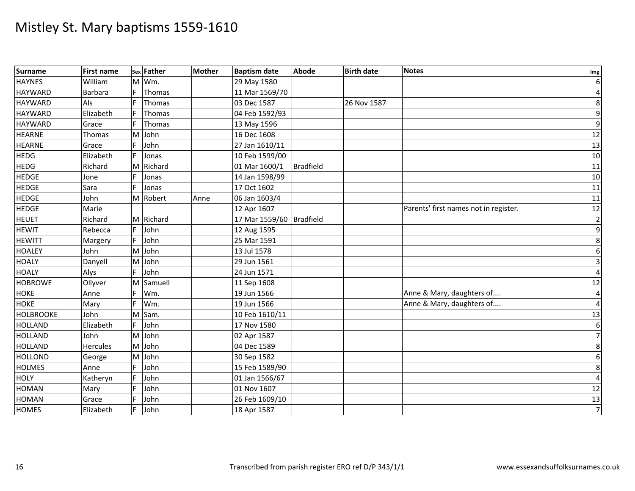| <b>Surname</b>   | <b>First name</b> |    | sex Father | <b>Mother</b> | <b>Baptism date</b>      | <b>Abode</b>     | <b>Birth date</b> | <b>Notes</b>                          | Img                     |
|------------------|-------------------|----|------------|---------------|--------------------------|------------------|-------------------|---------------------------------------|-------------------------|
| <b>HAYNES</b>    | William           | M  | Wm.        |               | 29 May 1580              |                  |                   |                                       | $\,6$                   |
| <b>HAYWARD</b>   | Barbara           | F. | Thomas     |               | 11 Mar 1569/70           |                  |                   |                                       | $\overline{4}$          |
| <b>HAYWARD</b>   | Als               |    | Thomas     |               | 03 Dec 1587              |                  | 26 Nov 1587       |                                       | 8                       |
| <b>HAYWARD</b>   | Elizabeth         |    | Thomas     |               | 04 Feb 1592/93           |                  |                   |                                       | $\overline{9}$          |
| <b>HAYWARD</b>   | Grace             |    | Thomas     |               | 13 May 1596              |                  |                   |                                       | 9                       |
| <b>HEARNE</b>    | Thomas            |    | M John     |               | 16 Dec 1608              |                  |                   |                                       | $\overline{12}$         |
| <b>HEARNE</b>    | Grace             |    | John       |               | 27 Jan 1610/11           |                  |                   |                                       | 13                      |
| <b>HEDG</b>      | Elizabeth         |    | Jonas      |               | 10 Feb 1599/00           |                  |                   |                                       | 10                      |
| <b>HEDG</b>      | Richard           | M  | Richard    |               | 01 Mar 1600/1            | <b>Bradfield</b> |                   |                                       | $\overline{11}$         |
| <b>HEDGE</b>     | Jone              |    | Jonas      |               | 14 Jan 1598/99           |                  |                   |                                       | 10                      |
| <b>HEDGE</b>     | Sara              |    | Jonas      |               | 17 Oct 1602              |                  |                   |                                       | 11                      |
| <b>HEDGE</b>     | John              |    | M Robert   | Anne          | 06 Jan 1603/4            |                  |                   |                                       | 11                      |
| <b>HEDGE</b>     | Marie             |    |            |               | 12 Apr 1607              |                  |                   | Parents' first names not in register. | $\overline{12}$         |
| <b>HEUET</b>     | Richard           |    | M Richard  |               | 17 Mar 1559/60 Bradfield |                  |                   |                                       | $\overline{2}$          |
| <b>HEWIT</b>     | Rebecca           |    | John       |               | 12 Aug 1595              |                  |                   |                                       | 9                       |
| <b>HEWITT</b>    | Margery           |    | John       |               | 25 Mar 1591              |                  |                   |                                       | 8                       |
| <b>HOALEY</b>    | John              |    | M John     |               | 13 Jul 1578              |                  |                   |                                       | $\boldsymbol{6}$        |
| <b>HOALY</b>     | Danyell           | M  | John       |               | 29 Jun 1561              |                  |                   |                                       | $\overline{\mathbf{3}}$ |
| <b>HOALY</b>     | Alys              |    | John       |               | 24 Jun 1571              |                  |                   |                                       | $\overline{4}$          |
| <b>HOBROWE</b>   | Ollyver           | M  | Samuell    |               | 11 Sep 1608              |                  |                   |                                       | 12                      |
| <b>HOKE</b>      | Anne              |    | Wm.        |               | 19 Jun 1566              |                  |                   | Anne & Mary, daughters of             | $\overline{4}$          |
| <b>HOKE</b>      | Mary              |    | Wm.        |               | 19 Jun 1566              |                  |                   | Anne & Mary, daughters of             | $\overline{4}$          |
| <b>HOLBROOKE</b> | John              | M  | Sam.       |               | 10 Feb 1610/11           |                  |                   |                                       | 13                      |
| <b>HOLLAND</b>   | Elizabeth         |    | John       |               | 17 Nov 1580              |                  |                   |                                       | 6                       |
| <b>HOLLAND</b>   | John              | M  | John       |               | 02 Apr 1587              |                  |                   |                                       | $\overline{7}$          |
| <b>HOLLAND</b>   | <b>Hercules</b>   |    | M John     |               | 04 Dec 1589              |                  |                   |                                       | 8                       |
| <b>HOLLOND</b>   | George            | M  | John       |               | 30 Sep 1582              |                  |                   |                                       | $\boldsymbol{6}$        |
| <b>HOLMES</b>    | Anne              |    | John       |               | 15 Feb 1589/90           |                  |                   |                                       | 8                       |
| <b>HOLY</b>      | Katheryn          |    | John       |               | 01 Jan 1566/67           |                  |                   |                                       | $\overline{4}$          |
| <b>HOMAN</b>     | Mary              |    | John       |               | 01 Nov 1607              |                  |                   |                                       | $12$                    |
| <b>HOMAN</b>     | Grace             |    | John       |               | 26 Feb 1609/10           |                  |                   |                                       | $\overline{13}$         |
| <b>HOMES</b>     | Elizabeth         |    | John       |               | 18 Apr 1587              |                  |                   |                                       | $\overline{7}$          |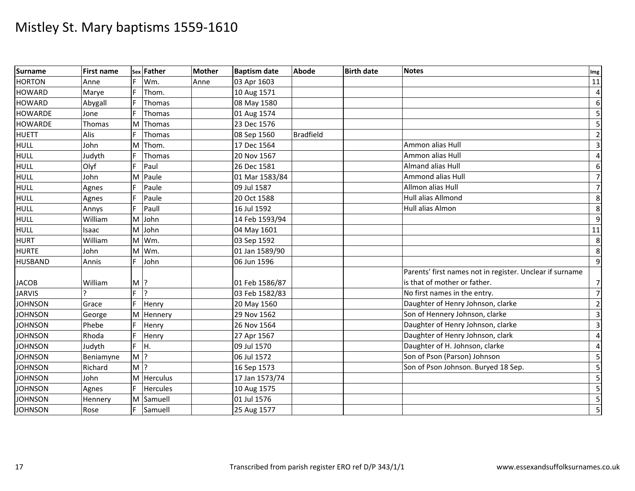| Surname        | <b>First name</b> | Sex     | Father          | <b>Mother</b> | <b>Baptism date</b> | <b>Abode</b>     | <b>Birth date</b> | <b>Notes</b>                                             | Img              |
|----------------|-------------------|---------|-----------------|---------------|---------------------|------------------|-------------------|----------------------------------------------------------|------------------|
| <b>HORTON</b>  | Anne              |         | Wm.             | Anne          | 03 Apr 1603         |                  |                   |                                                          | 11               |
| <b>HOWARD</b>  | Marye             | F.      | Thom.           |               | 10 Aug 1571         |                  |                   |                                                          | $\overline{4}$   |
| <b>HOWARD</b>  | Abygall           |         | Thomas          |               | 08 May 1580         |                  |                   |                                                          | $6 \overline{6}$ |
| <b>HOWARDE</b> | Jone              |         | Thomas          |               | 01 Aug 1574         |                  |                   |                                                          | 5                |
| <b>HOWARDE</b> | Thomas            | M       | Thomas          |               | 23 Dec 1576         |                  |                   |                                                          | 5                |
| <b>HUETT</b>   | Alis              | F.      | <b>Thomas</b>   |               | 08 Sep 1560         | <b>Bradfield</b> |                   |                                                          | $\overline{2}$   |
| <b>HULL</b>    | John              | M       | Thom.           |               | 17 Dec 1564         |                  |                   | Ammon alias Hull                                         | $\overline{3}$   |
| <b>HULL</b>    | Judyth            |         | Thomas          |               | 20 Nov 1567         |                  |                   | Ammon alias Hull                                         | $\overline{4}$   |
| <b>HULL</b>    | Olyf              |         | Paul            |               | 26 Dec 1581         |                  |                   | Almand alias Hull                                        | $6 \mid$         |
| <b>HULL</b>    | John              | M       | Paule           |               | 01 Mar 1583/84      |                  |                   | Ammond alias Hull                                        | $\overline{7}$   |
| <b>HULL</b>    | Agnes             |         | Paule           |               | 09 Jul 1587         |                  |                   | Allmon alias Hull                                        | $\overline{7}$   |
| <b>HULL</b>    | Agnes             |         | Paule           |               | 20 Oct 1588         |                  |                   | Hull alias Allmond                                       | 8                |
| <b>HULL</b>    | Annys             | E.      | Paull           |               | 16 Jul 1592         |                  |                   | <b>Hull alias Almon</b>                                  | 8                |
| <b>HULL</b>    | William           |         | M John          |               | 14 Feb 1593/94      |                  |                   |                                                          | 9                |
| <b>HULL</b>    | Isaac             | M       | John            |               | 04 May 1601         |                  |                   |                                                          | 11               |
| <b>HURT</b>    | William           | M       | Wm.             |               | 03 Sep 1592         |                  |                   |                                                          | 8                |
| <b>HURTE</b>   | John              | M       | Wm.             |               | 01 Jan 1589/90      |                  |                   |                                                          | 8                |
| <b>HUSBAND</b> | Annis             | F.      | John            |               | 06 Jun 1596         |                  |                   |                                                          | $\overline{9}$   |
|                |                   |         |                 |               |                     |                  |                   | Parents' first names not in register. Unclear if surname |                  |
| <b>JACOB</b>   | William           | $M$ ?   |                 |               | 01 Feb 1586/87      |                  |                   | is that of mother or father.                             | $\overline{7}$   |
| <b>JARVIS</b>  |                   | F.      | l?              |               | 03 Feb 1582/83      |                  |                   | No first names in the entry.                             | $\overline{7}$   |
| <b>JOHNSON</b> | Grace             | F.      | Henry           |               | 20 May 1560         |                  |                   | Daughter of Henry Johnson, clarke                        | $\overline{2}$   |
| <b>JOHNSON</b> | George            | M       | Hennery         |               | 29 Nov 1562         |                  |                   | Son of Hennery Johnson, clarke                           | $\overline{3}$   |
| <b>JOHNSON</b> | Phebe             |         | Henry           |               | 26 Nov 1564         |                  |                   | Daughter of Henry Johnson, clarke                        | $\overline{3}$   |
| <b>JOHNSON</b> | Rhoda             |         | Henry           |               | 27 Apr 1567         |                  |                   | Daughter of Henry Johnson, clark                         | $\overline{4}$   |
| <b>JOHNSON</b> | Judyth            | F.      | H.              |               | 09 Jul 1570         |                  |                   | Daughter of H. Johnson, clarke                           | $\overline{a}$   |
| <b>JOHNSON</b> | Beniamyne         | $M$ ?   |                 |               | 06 Jul 1572         |                  |                   | Son of Pson (Parson) Johnson                             | 5                |
| <b>JOHNSON</b> | Richard           | $M$   ? |                 |               | 16 Sep 1573         |                  |                   | Son of Pson Johnson. Buryed 18 Sep.                      | 5                |
| <b>JOHNSON</b> | John              | M       | <b>Herculus</b> |               | 17 Jan 1573/74      |                  |                   |                                                          | 5                |
| <b>JOHNSON</b> | Agnes             | F.      | <b>Hercules</b> |               | 10 Aug 1575         |                  |                   |                                                          | 5                |
| <b>JOHNSON</b> | Hennery           | M       | Samuell         |               | 01 Jul 1576         |                  |                   |                                                          | 5                |
| <b>JOHNSON</b> | Rose              |         | Samuell         |               | 25 Aug 1577         |                  |                   |                                                          | 5 <sub>l</sub>   |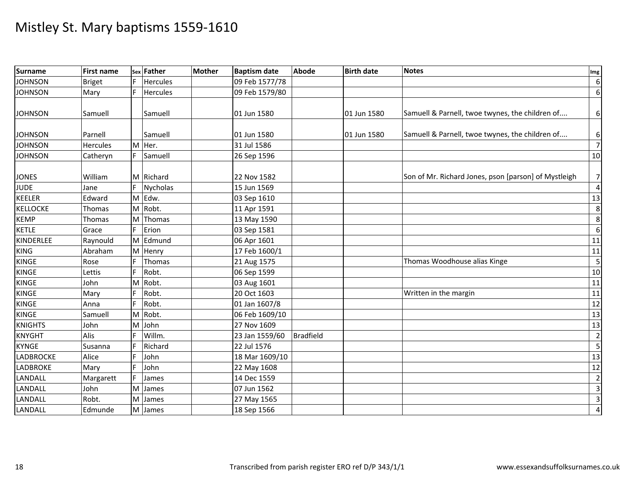| Surname          | <b>First name</b> |    | sex Father      | <b>Mother</b> | <b>Baptism date</b> | <b>Abode</b>     | <b>Birth date</b> | <b>Notes</b>                                         | Img                     |
|------------------|-------------------|----|-----------------|---------------|---------------------|------------------|-------------------|------------------------------------------------------|-------------------------|
| <b>JOHNSON</b>   | <b>Briget</b>     | F. | <b>Hercules</b> |               | 09 Feb 1577/78      |                  |                   |                                                      | 6                       |
| <b>JOHNSON</b>   | Mary              | E  | Hercules        |               | 09 Feb 1579/80      |                  |                   |                                                      | $6 \overline{6}$        |
|                  |                   |    |                 |               |                     |                  |                   |                                                      |                         |
| <b>JOHNSON</b>   | Samuell           |    | Samuell         |               | 01 Jun 1580         |                  | 01 Jun 1580       | Samuell & Parnell, twoe twynes, the children of      | $6 \mid$                |
|                  |                   |    |                 |               |                     |                  |                   |                                                      |                         |
| <b>JOHNSON</b>   | Parnell           |    | Samuell         |               | 01 Jun 1580         |                  | 01 Jun 1580       | Samuell & Parnell, twoe twynes, the children of      | $6 \mid$                |
| <b>JOHNSON</b>   | <b>Hercules</b>   |    | M Her.          |               | 31 Jul 1586         |                  |                   |                                                      | $\overline{7}$          |
| <b>JOHNSON</b>   | Catheryn          |    | Samuell         |               | 26 Sep 1596         |                  |                   |                                                      | 10                      |
|                  |                   |    |                 |               |                     |                  |                   |                                                      |                         |
| <b>JONES</b>     | William           |    | M Richard       |               | 22 Nov 1582         |                  |                   | Son of Mr. Richard Jones, pson [parson] of Mystleigh | 71                      |
| <b>JUDE</b>      | Jane              |    | <b>Nycholas</b> |               | 15 Jun 1569         |                  |                   |                                                      | $\overline{4}$          |
| <b>KEELER</b>    | Edward            |    | M Edw.          |               | 03 Sep 1610         |                  |                   |                                                      | 13                      |
| <b>KELLOCKE</b>  | <b>Thomas</b>     |    | M Robt.         |               | 11 Apr 1591         |                  |                   |                                                      | 8                       |
| <b>KEMP</b>      | Thomas            | M  | Thomas          |               | 13 May 1590         |                  |                   |                                                      | $\overline{8}$          |
| <b>KETLE</b>     | Grace             | F  | Erion           |               | 03 Sep 1581         |                  |                   |                                                      | $6\,$                   |
| KINDERLEE        | Raynould          | M  | Edmund          |               | 06 Apr 1601         |                  |                   |                                                      | 11                      |
| <b>KING</b>      | Abraham           | M  | Henry           |               | 17 Feb 1600/1       |                  |                   |                                                      | 11                      |
| <b>KINGE</b>     | Rose              |    | Thomas          |               | 21 Aug 1575         |                  |                   | Thomas Woodhouse alias Kinge                         | $\overline{\mathbf{5}}$ |
| <b>KINGE</b>     | Lettis            |    | Robt.           |               | 06 Sep 1599         |                  |                   |                                                      | 10                      |
| KINGE            | John              | M  | Robt.           |               | 03 Aug 1601         |                  |                   |                                                      | 11                      |
| <b>KINGE</b>     | Mary              |    | Robt.           |               | 20 Oct 1603         |                  |                   | Written in the margin                                | 11                      |
| <b>KINGE</b>     | Anna              |    | Robt.           |               | 01 Jan 1607/8       |                  |                   |                                                      | $\overline{12}$         |
| <b>KINGE</b>     | Samuell           |    | M Robt.         |               | 06 Feb 1609/10      |                  |                   |                                                      | 13                      |
| <b>KNIGHTS</b>   | John              | M  | John            |               | 27 Nov 1609         |                  |                   |                                                      | $\overline{13}$         |
| <b>KNYGHT</b>    | Alis              |    | Willm.          |               | 23 Jan 1559/60      | <b>Bradfield</b> |                   |                                                      | $\overline{2}$          |
| <b>KYNGE</b>     | Susanna           |    | Richard         |               | 22 Jul 1576         |                  |                   |                                                      | $\overline{5}$          |
| <b>LADBROCKE</b> | Alice             |    | John            |               | 18 Mar 1609/10      |                  |                   |                                                      | 13                      |
| <b>LADBROKE</b>  | Mary              |    | John            |               | 22 May 1608         |                  |                   |                                                      | $\overline{12}$         |
| LANDALL          | Margarett         |    | James           |               | 14 Dec 1559         |                  |                   |                                                      | $\overline{2}$          |
| LANDALL          | John              | M  | James           |               | 07 Jun 1562         |                  |                   |                                                      | $\overline{3}$          |
| LANDALL          | Robt.             | M  | James           |               | 27 May 1565         |                  |                   |                                                      | $\overline{\mathbf{3}}$ |
| LANDALL          | Edmunde           |    | M James         |               | 18 Sep 1566         |                  |                   |                                                      | $\overline{4}$          |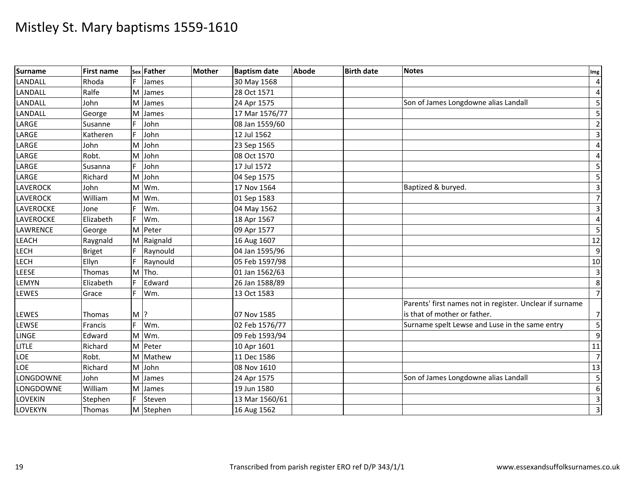| Surname          | <b>First name</b> |                    | sex Father | Mother | <b>Baptism date</b> | <b>Abode</b> | <b>Birth date</b> | <b>Notes</b>                                             | Img                     |
|------------------|-------------------|--------------------|------------|--------|---------------------|--------------|-------------------|----------------------------------------------------------|-------------------------|
| LANDALL          | Rhoda             |                    | James      |        | 30 May 1568         |              |                   |                                                          | $\overline{4}$          |
| LANDALL          | Ralfe             | M                  | James      |        | 28 Oct 1571         |              |                   |                                                          | $\overline{4}$          |
| <b>LANDALL</b>   | John              | M                  | James      |        | 24 Apr 1575         |              |                   | Son of James Longdowne alias Landall                     | 5                       |
| <b>LANDALL</b>   | George            | M                  | James      |        | 17 Mar 1576/77      |              |                   |                                                          | 5                       |
| LARGE            | Susanne           | F.                 | John       |        | 08 Jan 1559/60      |              |                   |                                                          | $\overline{2}$          |
| LARGE            | Katheren          | F.                 | John       |        | 12 Jul 1562         |              |                   |                                                          | $\overline{3}$          |
| LARGE            | John              | M                  | John       |        | 23 Sep 1565         |              |                   |                                                          | $\overline{a}$          |
| LARGE            | Robt.             | M                  | John       |        | 08 Oct 1570         |              |                   |                                                          | $\overline{a}$          |
| LARGE            | Susanna           | F.                 | John       |        | 17 Jul 1572         |              |                   |                                                          | 5 <sub>l</sub>          |
| LARGE            | Richard           |                    | M John     |        | 04 Sep 1575         |              |                   |                                                          | 5                       |
| <b>LAVEROCK</b>  | John              | M                  | Wm.        |        | 17 Nov 1564         |              |                   | Baptized & buryed.                                       | $\overline{3}$          |
| <b>LAVEROCK</b>  | William           | M                  | Wm.        |        | 01 Sep 1583         |              |                   |                                                          | $\overline{7}$          |
| <b>LAVEROCKE</b> | Jone              |                    | Wm.        |        | 04 May 1562         |              |                   |                                                          | $\overline{3}$          |
| <b>LAVEROCKE</b> | Elizabeth         | F.                 | Wm.        |        | 18 Apr 1567         |              |                   |                                                          | $\overline{a}$          |
| <b>LAWRENCE</b>  | George            |                    | M Peter    |        | 09 Apr 1577         |              |                   |                                                          | 5                       |
| LEACH            | Raygnald          |                    | M Raignald |        | 16 Aug 1607         |              |                   |                                                          | 12                      |
| <b>LECH</b>      | <b>Briget</b>     |                    | Raynould   |        | 04 Jan 1595/96      |              |                   |                                                          | $\overline{9}$          |
| <b>LECH</b>      | Ellyn             |                    | Raynould   |        | 05 Feb 1597/98      |              |                   |                                                          | 10                      |
| LEESE            | Thomas            |                    | M Tho.     |        | 01 Jan 1562/63      |              |                   |                                                          | $\overline{\mathbf{3}}$ |
| LEMYN            | Elizabeth         |                    | Edward     |        | 26 Jan 1588/89      |              |                   |                                                          | 8                       |
| <b>LEWES</b>     | Grace             |                    | Wm.        |        | 13 Oct 1583         |              |                   |                                                          | $\overline{7}$          |
|                  |                   |                    |            |        |                     |              |                   | Parents' first names not in register. Unclear if surname |                         |
| LEWES            | Thomas            | $M$ $\overline{?}$ |            |        | 07 Nov 1585         |              |                   | is that of mother or father.                             | $\overline{7}$          |
| LEWSE            | Francis           | F.                 | Wm.        |        | 02 Feb 1576/77      |              |                   | Surname spelt Lewse and Luse in the same entry           | 5                       |
| <b>LINGE</b>     | Edward            | M                  | Wm.        |        | 09 Feb 1593/94      |              |                   |                                                          | $\overline{9}$          |
| <b>LITLE</b>     | Richard           |                    | M Peter    |        | 10 Apr 1601         |              |                   |                                                          | 11                      |
| LOE              | Robt.             | M                  | Mathew     |        | 11 Dec 1586         |              |                   |                                                          | $\overline{7}$          |
| LOE              | Richard           |                    | M John     |        | 08 Nov 1610         |              |                   |                                                          | 13                      |
| LONGDOWNE        | John              | м                  | James      |        | 24 Apr 1575         |              |                   | Son of James Longdowne alias Landall                     | 5                       |
| LONGDOWNE        | William           | M                  | James      |        | 19 Jun 1580         |              |                   |                                                          | $6 \overline{6}$        |
| LOVEKIN          | Stephen           | F.                 | Steven     |        | 13 Mar 1560/61      |              |                   |                                                          | $\overline{3}$          |
| LOVEKYN          | Thomas            |                    | M Stephen  |        | 16 Aug 1562         |              |                   |                                                          | $\overline{3}$          |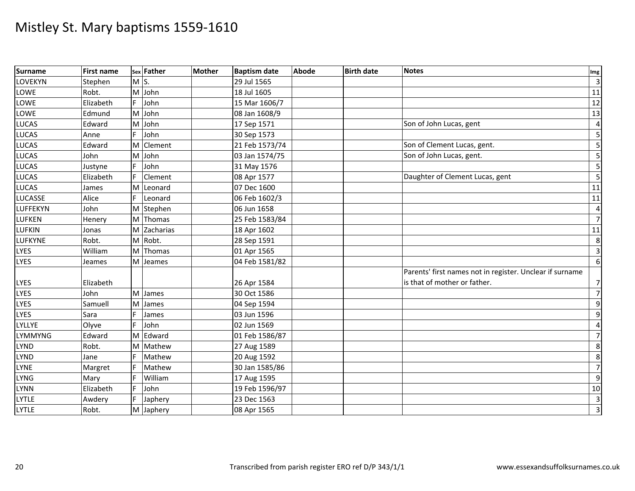| Surname        | <b>First name</b> |    | sex Father     | <b>Mother</b> | <b>Baptism date</b> | <b>Abode</b> | <b>Birth date</b> | <b>Notes</b>                                             | Img              |
|----------------|-------------------|----|----------------|---------------|---------------------|--------------|-------------------|----------------------------------------------------------|------------------|
| <b>LOVEKYN</b> | Stephen           | M  | $\mathsf{S}$ . |               | 29 Jul 1565         |              |                   |                                                          | $\overline{3}$   |
| LOWE           | Robt.             |    | M John         |               | 18 Jul 1605         |              |                   |                                                          | 11               |
| LOWE           | Elizabeth         | F. | John           |               | 15 Mar 1606/7       |              |                   |                                                          | 12               |
| LOWE           | Edmund            | M  | John           |               | 08 Jan 1608/9       |              |                   |                                                          | 13               |
| <b>LUCAS</b>   | Edward            | M  | John           |               | 17 Sep 1571         |              |                   | Son of John Lucas, gent                                  | $\overline{4}$   |
| LUCAS          | Anne              | E. | John           |               | 30 Sep 1573         |              |                   |                                                          | 5 <sub>l</sub>   |
| LUCAS          | Edward            |    | M Clement      |               | 21 Feb 1573/74      |              |                   | Son of Clement Lucas, gent.                              | 5 <sub>l</sub>   |
| <b>LUCAS</b>   | John              | M  | John           |               | 03 Jan 1574/75      |              |                   | Son of John Lucas, gent.                                 | 5                |
| <b>LUCAS</b>   | Justyne           |    | John           |               | 31 May 1576         |              |                   |                                                          | 5 <sub>l</sub>   |
| <b>LUCAS</b>   | Elizabeth         |    | Clement        |               | 08 Apr 1577         |              |                   | Daughter of Clement Lucas, gent                          | $5 \frac{1}{2}$  |
| LUCAS          | James             | M  | Leonard        |               | 07 Dec 1600         |              |                   |                                                          | 11               |
| <b>LUCASSE</b> | Alice             |    | Leonard        |               | 06 Feb 1602/3       |              |                   |                                                          | 11               |
| LUFFEKYN       | John              |    | M Stephen      |               | 06 Jun 1658         |              |                   |                                                          | $\overline{4}$   |
| <b>LUFKEN</b>  | Henery            |    | M Thomas       |               | 25 Feb 1583/84      |              |                   |                                                          | $\overline{7}$   |
| <b>LUFKIN</b>  | Jonas             |    | M Zacharias    |               | 18 Apr 1602         |              |                   |                                                          | 11               |
| <b>LUFKYNE</b> | Robt.             | M  | Robt.          |               | 28 Sep 1591         |              |                   |                                                          | $\boldsymbol{8}$ |
| <b>LYES</b>    | William           |    | M Thomas       |               | 01 Apr 1565         |              |                   |                                                          | $\overline{3}$   |
| <b>LYES</b>    | Jeames            |    | M Jeames       |               | 04 Feb 1581/82      |              |                   |                                                          | $6 \overline{6}$ |
|                |                   |    |                |               |                     |              |                   | Parents' first names not in register. Unclear if surname |                  |
| <b>LYES</b>    | Elizabeth         |    |                |               | 26 Apr 1584         |              |                   | is that of mother or father.                             | $\overline{7}$   |
| <b>LYES</b>    | John              |    | M James        |               | 30 Oct 1586         |              |                   |                                                          | $\overline{7}$   |
| <b>LYES</b>    | Samuell           | M  | James          |               | 04 Sep 1594         |              |                   |                                                          | $\overline{9}$   |
| <b>LYES</b>    | Sara              | F. | James          |               | 03 Jun 1596         |              |                   |                                                          | $\overline{9}$   |
| LYLLYE         | Olyve             | F. | John           |               | 02 Jun 1569         |              |                   |                                                          | $\overline{a}$   |
| <b>LYMMYNG</b> | Edward            | M  | Edward         |               | 01 Feb 1586/87      |              |                   |                                                          | $\overline{7}$   |
| <b>LYND</b>    | Robt.             | M  | Mathew         |               | 27 Aug 1589         |              |                   |                                                          | 8                |
| <b>LYND</b>    | Jane              | F. | Mathew         |               | 20 Aug 1592         |              |                   |                                                          | 8                |
| <b>LYNE</b>    | Margret           |    | Mathew         |               | 30 Jan 1585/86      |              |                   |                                                          | $\overline{7}$   |
| <b>LYNG</b>    | Mary              |    | William        |               | 17 Aug 1595         |              |                   |                                                          | $\overline{9}$   |
| <b>LYNN</b>    | Elizabeth         |    | John           |               | 19 Feb 1596/97      |              |                   |                                                          | 10               |
| <b>LYTLE</b>   | Awdery            |    | Japhery        |               | 23 Dec 1563         |              |                   |                                                          | $\overline{3}$   |
| <b>LYTLE</b>   | Robt.             |    | M Japhery      |               | 08 Apr 1565         |              |                   |                                                          | $\overline{3}$   |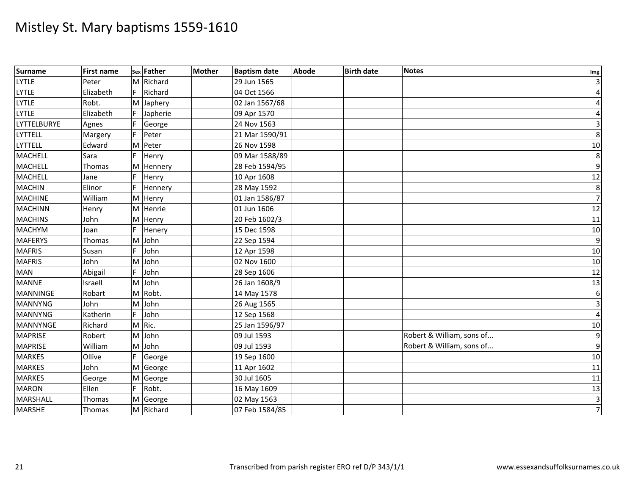| Surname            | <b>First name</b> |    | sex Father | <b>Mother</b> | <b>Baptism date</b> | <b>Abode</b> | <b>Birth date</b> | <b>Notes</b>              | Img              |
|--------------------|-------------------|----|------------|---------------|---------------------|--------------|-------------------|---------------------------|------------------|
| <b>LYTLE</b>       | Peter             |    | M Richard  |               | 29 Jun 1565         |              |                   |                           | $\overline{3}$   |
| <b>LYTLE</b>       | Elizabeth         | F. | Richard    |               | 04 Oct 1566         |              |                   |                           | $\overline{a}$   |
| <b>LYTLE</b>       | Robt.             | M  | Japhery    |               | 02 Jan 1567/68      |              |                   |                           | $\overline{a}$   |
| <b>LYTLE</b>       | Elizabeth         |    | Japherie   |               | 09 Apr 1570         |              |                   |                           | $\overline{a}$   |
| <b>LYTTELBURYE</b> | Agnes             |    | George     |               | 24 Nov 1563         |              |                   |                           | $\overline{3}$   |
| <b>LYTTELL</b>     | Margery           | F  | Peter      |               | 21 Mar 1590/91      |              |                   |                           | 8                |
| <b>LYTTELL</b>     | Edward            |    | M Peter    |               | 26 Nov 1598         |              |                   |                           | 10               |
| <b>MACHELL</b>     | Sara              |    | Henry      |               | 09 Mar 1588/89      |              |                   |                           | 8                |
| <b>MACHELL</b>     | Thomas            | M  | Hennery    |               | 28 Feb 1594/95      |              |                   |                           | $\overline{9}$   |
| <b>MACHELL</b>     | Jane              |    | Henry      |               | 10 Apr 1608         |              |                   |                           | 12               |
| <b>MACHIN</b>      | Elinor            | F  | Hennery    |               | 28 May 1592         |              |                   |                           | $\boldsymbol{8}$ |
| <b>MACHINE</b>     | William           |    | M Henry    |               | 01 Jan 1586/87      |              |                   |                           | $\overline{7}$   |
| <b>MACHINN</b>     | Henry             | M  | Henrie     |               | 01 Jun 1606         |              |                   |                           | 12               |
| <b>MACHINS</b>     | John              | M  | Henry      |               | 20 Feb 1602/3       |              |                   |                           | 11               |
| <b>MACHYM</b>      | Joan              |    | Henery     |               | 15 Dec 1598         |              |                   |                           | 10               |
| <b>MAFERYS</b>     | Thomas            | M  | John       |               | 22 Sep 1594         |              |                   |                           | $\overline{9}$   |
| <b>MAFRIS</b>      | Susan             |    | John       |               | 12 Apr 1598         |              |                   |                           | 10               |
| <b>MAFRIS</b>      | John              | M  | John       |               | 02 Nov 1600         |              |                   |                           | 10               |
| <b>MAN</b>         | Abigail           | F. | John       |               | 28 Sep 1606         |              |                   |                           | 12               |
| <b>MANNE</b>       | Israell           | M  | John       |               | 26 Jan 1608/9       |              |                   |                           | 13               |
| <b>MANNINGE</b>    | Robart            |    | M Robt.    |               | 14 May 1578         |              |                   |                           | $6 \overline{6}$ |
| <b>MANNYNG</b>     | John              | M  | John       |               | 26 Aug 1565         |              |                   |                           | $\overline{3}$   |
| <b>MANNYNG</b>     | Katherin          | F. | John       |               | 12 Sep 1568         |              |                   |                           | $\overline{4}$   |
| MANNYNGE           | Richard           |    | M Ric.     |               | 25 Jan 1596/97      |              |                   |                           | 10               |
| <b>MAPRISE</b>     | Robert            | M  | John       |               | 09 Jul 1593         |              |                   | Robert & William, sons of | $\overline{9}$   |
| <b>MAPRISE</b>     | William           | M  | John       |               | 09 Jul 1593         |              |                   | Robert & William, sons of | $\overline{9}$   |
| <b>MARKES</b>      | Ollive            |    | George     |               | 19 Sep 1600         |              |                   |                           | 10               |
| <b>MARKES</b>      | John              |    | M George   |               | 11 Apr 1602         |              |                   |                           | 11               |
| <b>MARKES</b>      | George            | M  | George     |               | 30 Jul 1605         |              |                   |                           | 11               |
| <b>MARON</b>       | Ellen             | F. | Robt.      |               | 16 May 1609         |              |                   |                           | 13               |
| MARSHALL           | Thomas            |    | M George   |               | 02 May 1563         |              |                   |                           | $\overline{3}$   |
| <b>MARSHE</b>      | Thomas            |    | M Richard  |               | 07 Feb 1584/85      |              |                   |                           | $\overline{7}$   |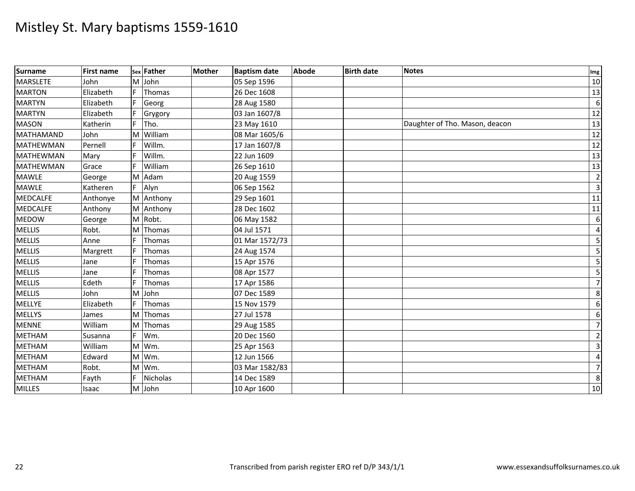| <b>Surname</b>   | <b>First name</b> |    | sex Father      | <b>Mother</b> | <b>Baptism date</b> | <b>Abode</b> | <b>Birth date</b> | <b>Notes</b>                   | Img             |
|------------------|-------------------|----|-----------------|---------------|---------------------|--------------|-------------------|--------------------------------|-----------------|
| <b>MARSLETE</b>  | John              | M  | John            |               | 05 Sep 1596         |              |                   |                                | 10              |
| <b>MARTON</b>    | Elizabeth         |    | Thomas          |               | 26 Dec 1608         |              |                   |                                | 13              |
| <b>MARTYN</b>    | Elizabeth         |    | Georg           |               | 28 Aug 1580         |              |                   |                                | $6 \mid$        |
| <b>MARTYN</b>    | Elizabeth         |    | Grygory         |               | 03 Jan 1607/8       |              |                   |                                | 12              |
| <b>MASON</b>     | Katherin          |    | Tho.            |               | 23 May 1610         |              |                   | Daughter of Tho. Mason, deacon | 13              |
| <b>MATHAMAND</b> | John              | M  | William         |               | 08 Mar 1605/6       |              |                   |                                | 12              |
| <b>MATHEWMAN</b> | Pernell           |    | Willm.          |               | 17 Jan 1607/8       |              |                   |                                | 12              |
| <b>MATHEWMAN</b> | Mary              |    | Willm.          |               | 22 Jun 1609         |              |                   |                                | 13              |
| <b>MATHEWMAN</b> | Grace             |    | William         |               | 26 Sep 1610         |              |                   |                                | 13              |
| <b>MAWLE</b>     | George            | M  | Adam            |               | 20 Aug 1559         |              |                   |                                | $\overline{2}$  |
| <b>MAWLE</b>     | Katheren          | F  | Alyn            |               | 06 Sep 1562         |              |                   |                                | $\overline{3}$  |
| <b>MEDCALFE</b>  | Anthonye          |    | M Anthony       |               | 29 Sep 1601         |              |                   |                                | 11              |
| <b>MEDCALFE</b>  | Anthony           |    | M Anthony       |               | 28 Dec 1602         |              |                   |                                | 11              |
| <b>MEDOW</b>     | George            |    | M Robt.         |               | 06 May 1582         |              |                   |                                | 6               |
| <b>MELLIS</b>    | Robt.             | M  | Thomas          |               | 04 Jul 1571         |              |                   |                                | $\sqrt{4}$      |
| <b>MELLIS</b>    | Anne              | F  | Thomas          |               | 01 Mar 1572/73      |              |                   |                                | 5               |
| <b>MELLIS</b>    | Margrett          |    | Thomas          |               | 24 Aug 1574         |              |                   |                                | 5               |
| <b>MELLIS</b>    | Jane              |    | Thomas          |               | 15 Apr 1576         |              |                   |                                | $\overline{5}$  |
| <b>MELLIS</b>    | Jane              |    | Thomas          |               | 08 Apr 1577         |              |                   |                                | $\mathsf S$     |
| <b>MELLIS</b>    | Edeth             | E  | Thomas          |               | 17 Apr 1586         |              |                   |                                | $7\overline{ }$ |
| <b>MELLIS</b>    | John              | M  | John            |               | 07 Dec 1589         |              |                   |                                | 8 <sup>°</sup>  |
| <b>MELLYE</b>    | Elizabeth         | F. | Thomas          |               | 15 Nov 1579         |              |                   |                                | 6               |
| <b>MELLYS</b>    | James             | M  | Thomas          |               | 27 Jul 1578         |              |                   |                                | 6               |
| <b>MENNE</b>     | William           | M  | Thomas          |               | 29 Aug 1585         |              |                   |                                | $7\overline{}$  |
| <b>METHAM</b>    | Susanna           | F. | Wm.             |               | 20 Dec 1560         |              |                   |                                | $\overline{2}$  |
| <b>METHAM</b>    | William           | M  | Wm.             |               | 25 Apr 1563         |              |                   |                                | $\overline{3}$  |
| <b>METHAM</b>    | Edward            | M  | Wm.             |               | 12 Jun 1566         |              |                   |                                | $\pmb{4}$       |
| <b>METHAM</b>    | Robt.             |    | M Wm.           |               | 03 Mar 1582/83      |              |                   |                                | $\overline{7}$  |
| <b>METHAM</b>    | Fayth             |    | <b>Nicholas</b> |               | 14 Dec 1589         |              |                   |                                | 8               |
| <b>MILLES</b>    | Isaac             |    | M John          |               | 10 Apr 1600         |              |                   |                                | 10              |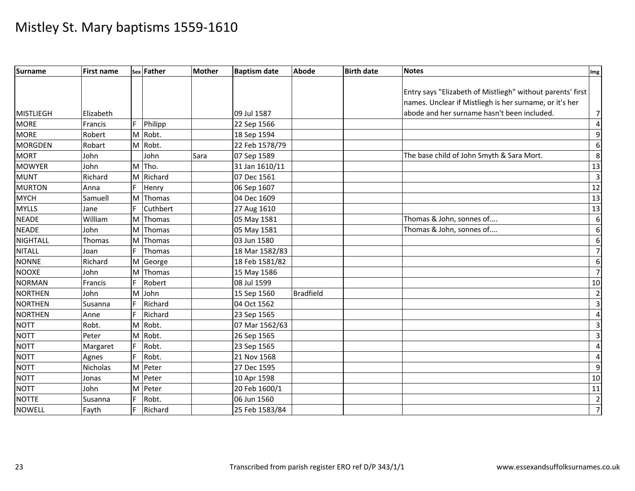| <b>Surname</b>   | <b>First name</b> |    | sex Father    | <b>Mother</b> | <b>Baptism date</b> | <b>Abode</b>     | <b>Birth date</b> | <b>Notes</b>                                               | Img             |
|------------------|-------------------|----|---------------|---------------|---------------------|------------------|-------------------|------------------------------------------------------------|-----------------|
|                  |                   |    |               |               |                     |                  |                   |                                                            |                 |
|                  |                   |    |               |               |                     |                  |                   | Entry says "Elizabeth of Mistliegh" without parents' first |                 |
|                  |                   |    |               |               |                     |                  |                   | names. Unclear if Mistliegh is her surname, or it's her    |                 |
| <b>MISTLIEGH</b> | Elizabeth         |    |               |               | 09 Jul 1587         |                  |                   | abode and her surname hasn't been included.                | $\overline{7}$  |
| <b>MORE</b>      | Francis           | F. | Philipp       |               | 22 Sep 1566         |                  |                   |                                                            | 4               |
| <b>MORE</b>      | Robert            |    | M Robt.       |               | 18 Sep 1594         |                  |                   |                                                            | 9               |
| <b>MORGDEN</b>   | Robart            |    | M Robt.       |               | 22 Feb 1578/79      |                  |                   |                                                            | 6               |
| <b>MORT</b>      | John              |    | John          | Sara          | 07 Sep 1589         |                  |                   | The base child of John Smyth & Sara Mort.                  | 8               |
| <b>MOWYER</b>    | John              |    | M Tho.        |               | 31 Jan 1610/11      |                  |                   |                                                            | 13              |
| <b>MUNT</b>      | Richard           |    | M Richard     |               | 07 Dec 1561         |                  |                   |                                                            | 3               |
| <b>MURTON</b>    | Anna              |    | Henry         |               | 06 Sep 1607         |                  |                   |                                                            | 12              |
| <b>MYCH</b>      | Samuell           | M  | Thomas        |               | 04 Dec 1609         |                  |                   |                                                            | 13              |
| <b>MYLLS</b>     | Jane              | F  | Cuthbert      |               | 27 Aug 1610         |                  |                   |                                                            | $\overline{13}$ |
| <b>NEADE</b>     | William           |    | M Thomas      |               | 05 May 1581         |                  |                   | Thomas & John, sonnes of                                   | 6               |
| <b>NEADE</b>     | John              | M  | Thomas        |               | 05 May 1581         |                  |                   | Thomas & John, sonnes of                                   | 6               |
| <b>NIGHTALL</b>  | Thomas            | M  | <b>Thomas</b> |               | 03 Jun 1580         |                  |                   |                                                            | 6               |
| <b>NITALL</b>    | Joan              | F  | Thomas        |               | 18 Mar 1582/83      |                  |                   |                                                            | $\overline{7}$  |
| <b>NONNE</b>     | Richard           |    | M George      |               | 18 Feb 1581/82      |                  |                   |                                                            | 6               |
| <b>NOOXE</b>     | John              | M  | Thomas        |               | 15 May 1586         |                  |                   |                                                            | $\overline{7}$  |
| <b>NORMAN</b>    | Francis           |    | Robert        |               | 08 Jul 1599         |                  |                   |                                                            | 10              |
| <b>NORTHEN</b>   | John              | M  | John          |               | 15 Sep 1560         | <b>Bradfield</b> |                   |                                                            | $\overline{2}$  |
| <b>NORTHEN</b>   | Susanna           | E  | Richard       |               | 04 Oct 1562         |                  |                   |                                                            | 3               |
| <b>NORTHEN</b>   | Anne              |    | Richard       |               | 23 Sep 1565         |                  |                   |                                                            | 4               |
| <b>NOTT</b>      | Robt.             | M  | Robt.         |               | 07 Mar 1562/63      |                  |                   |                                                            | 3               |
| <b>NOTT</b>      | Peter             | M  | Robt.         |               | 26 Sep 1565         |                  |                   |                                                            | 3               |
| <b>NOTT</b>      | Margaret          |    | Robt.         |               | 23 Sep 1565         |                  |                   |                                                            | 4               |
| NOTT             | Agnes             |    | Robt.         |               | 21 Nov 1568         |                  |                   |                                                            | 4               |
| <b>NOTT</b>      | Nicholas          |    | M Peter       |               | 27 Dec 1595         |                  |                   |                                                            | 9               |
| <b>NOTT</b>      | Jonas             | M  | Peter         |               | 10 Apr 1598         |                  |                   |                                                            | 10              |
| <b>NOTT</b>      | John              |    | M Peter       |               | 20 Feb 1600/1       |                  |                   |                                                            | 11              |
| NOTTE            | Susanna           |    | Robt.         |               | 06 Jun 1560         |                  |                   |                                                            | $\overline{2}$  |
| <b>NOWELL</b>    | Fayth             |    | Richard       |               | 25 Feb 1583/84      |                  |                   |                                                            | $\overline{7}$  |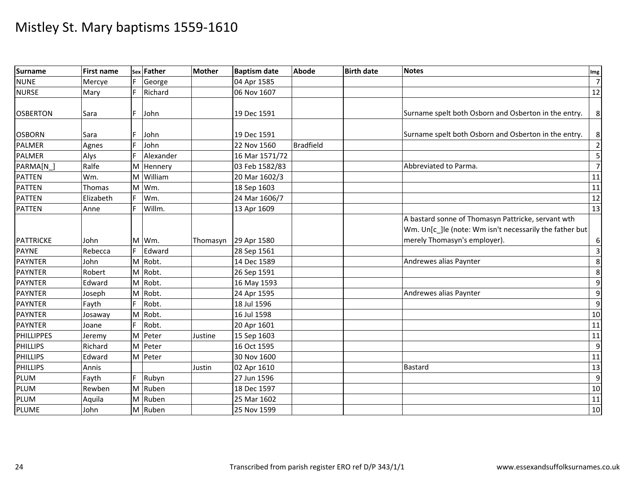| Surname           | <b>First name</b> |    | sex Father | Mother   | <b>Baptism date</b> | <b>Abode</b>     | <b>Birth date</b> | <b>Notes</b>                                                                                                                                  | Img              |
|-------------------|-------------------|----|------------|----------|---------------------|------------------|-------------------|-----------------------------------------------------------------------------------------------------------------------------------------------|------------------|
| <b>NUNE</b>       | Mercye            |    | George     |          | 04 Apr 1585         |                  |                   |                                                                                                                                               | $\overline{7}$   |
| <b>NURSE</b>      | Mary              |    | Richard    |          | 06 Nov 1607         |                  |                   |                                                                                                                                               | $\overline{12}$  |
| <b>OSBERTON</b>   | Sara              | F  | John       |          | 19 Dec 1591         |                  |                   | Surname spelt both Osborn and Osberton in the entry.                                                                                          | 8 <sup>1</sup>   |
|                   |                   |    |            |          |                     |                  |                   |                                                                                                                                               |                  |
| <b>OSBORN</b>     | Sara              |    | John       |          | 19 Dec 1591         |                  |                   | Surname spelt both Osborn and Osberton in the entry.                                                                                          | 8 <sup>°</sup>   |
| <b>PALMER</b>     | Agnes             | F. | John       |          | 22 Nov 1560         | <b>Bradfield</b> |                   |                                                                                                                                               | $\overline{2}$   |
| PALMER            | Alys              |    | Alexander  |          | 16 Mar 1571/72      |                  |                   |                                                                                                                                               | 5                |
| PARMA[N_]         | Ralfe             | M  | Hennery    |          | 03 Feb 1582/83      |                  |                   | Abbreviated to Parma.                                                                                                                         | $\overline{7}$   |
| <b>PATTEN</b>     | Wm.               | M  | William    |          | 20 Mar 1602/3       |                  |                   |                                                                                                                                               | 11               |
| <b>PATTEN</b>     | Thomas            | M  | Wm.        |          | 18 Sep 1603         |                  |                   |                                                                                                                                               | 11               |
| <b>PATTEN</b>     | Elizabeth         |    | Wm.        |          | 24 Mar 1606/7       |                  |                   |                                                                                                                                               | 12               |
| <b>PATTEN</b>     | Anne              |    | Willm.     |          | 13 Apr 1609         |                  |                   |                                                                                                                                               | 13               |
| <b>PATTRICKE</b>  | John              |    | M Wm.      | Thomasyn | 29 Apr 1580         |                  |                   | A bastard sonne of Thomasyn Pattricke, servant wth<br>Wm. Un[c_]le (note: Wm isn't necessarily the father but<br>merely Thomasyn's employer). | $6 \mid$         |
| <b>PAYNE</b>      | Rebecca           | F  | Edward     |          | 28 Sep 1561         |                  |                   |                                                                                                                                               | $\overline{3}$   |
| <b>PAYNTER</b>    | John              |    | M Robt.    |          | 14 Dec 1589         |                  |                   | Andrewes alias Paynter                                                                                                                        | 8                |
| <b>PAYNTER</b>    | Robert            |    | M Robt.    |          | 26 Sep 1591         |                  |                   |                                                                                                                                               | 8                |
| <b>PAYNTER</b>    | Edward            | M  | Robt.      |          | 16 May 1593         |                  |                   |                                                                                                                                               | $\boldsymbol{9}$ |
| <b>PAYNTER</b>    | Joseph            | M  | Robt.      |          | 24 Apr 1595         |                  |                   | Andrewes alias Paynter                                                                                                                        | 9                |
| <b>PAYNTER</b>    | Fayth             | F. | Robt.      |          | 18 Jul 1596         |                  |                   |                                                                                                                                               | $\boldsymbol{9}$ |
| PAYNTER           | Josaway           |    | M Robt.    |          | 16 Jul 1598         |                  |                   |                                                                                                                                               | 10               |
| <b>PAYNTER</b>    | Joane             |    | Robt.      |          | 20 Apr 1601         |                  |                   |                                                                                                                                               | 11               |
| <b>PHILLIPPES</b> | Jeremy            | M  | Peter      | Justine  | 15 Sep 1603         |                  |                   |                                                                                                                                               | 11               |
| <b>PHILLIPS</b>   | Richard           | M  | Peter      |          | 16 Oct 1595         |                  |                   |                                                                                                                                               | 9                |
| <b>PHILLIPS</b>   | Edward            | M  | Peter      |          | 30 Nov 1600         |                  |                   |                                                                                                                                               | 11               |
| <b>PHILLIPS</b>   | Annis             |    |            | Justin   | 02 Apr 1610         |                  |                   | <b>Bastard</b>                                                                                                                                | 13               |
| PLUM              | Fayth             |    | Rubyn      |          | 27 Jun 1596         |                  |                   |                                                                                                                                               | 9                |
| PLUM              | Rewben            |    | M Ruben    |          | 18 Dec 1597         |                  |                   |                                                                                                                                               | 10               |
| PLUM              | Aquila            | M  | Ruben      |          | 25 Mar 1602         |                  |                   |                                                                                                                                               | 11               |
| <b>PLUME</b>      | John              |    | M Ruben    |          | 25 Nov 1599         |                  |                   |                                                                                                                                               | 10               |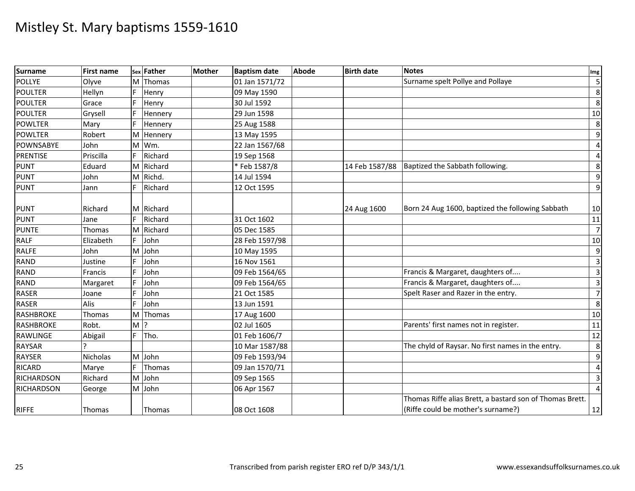| Surname           | <b>First name</b> |    | sex Father | <b>Mother</b> | <b>Baptism date</b> | <b>Abode</b> | <b>Birth date</b> | <b>Notes</b>                                             | Im <sub>g</sub>  |
|-------------------|-------------------|----|------------|---------------|---------------------|--------------|-------------------|----------------------------------------------------------|------------------|
| <b>POLLYE</b>     | Olyve             | M  | Thomas     |               | 01 Jan 1571/72      |              |                   | Surname spelt Pollye and Pollaye                         | $\overline{5}$   |
| <b>POULTER</b>    | Hellyn            |    | Henry      |               | 09 May 1590         |              |                   |                                                          | 8                |
| <b>POULTER</b>    | Grace             |    | Henry      |               | 30 Jul 1592         |              |                   |                                                          | 8                |
| <b>POULTER</b>    | Grysell           |    | Hennery    |               | 29 Jun 1598         |              |                   |                                                          | 10               |
| <b>POWLTER</b>    | Mary              |    | Hennery    |               | 25 Aug 1588         |              |                   |                                                          | 8                |
| <b>POWLTER</b>    | Robert            | M  | Hennery    |               | 13 May 1595         |              |                   |                                                          | $\boldsymbol{9}$ |
| <b>POWNSABYE</b>  | John              | M  | Wm.        |               | 22 Jan 1567/68      |              |                   |                                                          | $\sqrt{4}$       |
| <b>PRENTISE</b>   | Priscilla         |    | Richard    |               | 19 Sep 1568         |              |                   |                                                          | $\sqrt{4}$       |
| <b>PUNT</b>       | Eduard            |    | M Richard  |               | *Feb 1587/8         |              | 14 Feb 1587/88    | Baptized the Sabbath following.                          | 8                |
| PUNT              | John              | M  | Richd.     |               | 14 Jul 1594         |              |                   |                                                          | $\boldsymbol{9}$ |
| <b>PUNT</b>       | Jann              |    | Richard    |               | 12 Oct 1595         |              |                   |                                                          | 9                |
|                   |                   |    |            |               |                     |              |                   |                                                          |                  |
| PUNT              | Richard           |    | M Richard  |               |                     |              | 24 Aug 1600       | Born 24 Aug 1600, baptized the following Sabbath         | 10               |
| PUNT              | Jane              |    | Richard    |               | 31 Oct 1602         |              |                   |                                                          | 11               |
| <b>PUNTE</b>      | Thomas            | M  | Richard    |               | 05 Dec 1585         |              |                   |                                                          | $\overline{7}$   |
| <b>RALF</b>       | Elizabeth         |    | John       |               | 28 Feb 1597/98      |              |                   |                                                          | 10               |
| <b>RALFE</b>      | John              | M  | John       |               | 10 May 1595         |              |                   |                                                          | 9                |
| <b>RAND</b>       | Justine           |    | John       |               | 16 Nov 1561         |              |                   |                                                          | $\mathbf{3}$     |
| <b>RAND</b>       | <b>Francis</b>    |    | John       |               | 09 Feb 1564/65      |              |                   | Francis & Margaret, daughters of                         | $\overline{3}$   |
| <b>RAND</b>       | Margaret          |    | John       |               | 09 Feb 1564/65      |              |                   | Francis & Margaret, daughters of                         | $\overline{3}$   |
| <b>RASER</b>      | Joane             |    | John       |               | 21 Oct 1585         |              |                   | Spelt Raser and Razer in the entry.                      | $\overline{7}$   |
| <b>RASER</b>      | Alis              |    | John       |               | 13 Jun 1591         |              |                   |                                                          | $\,8\,$          |
| <b>RASHBROKE</b>  | Thomas            | M  | Thomas     |               | 17 Aug 1600         |              |                   |                                                          | 10               |
| <b>RASHBROKE</b>  | Robt.             | M  | כ ו        |               | 02 Jul 1605         |              |                   | Parents' first names not in register.                    | 11               |
| <b>RAWLINGE</b>   | Abigail           | F. | Tho.       |               | 01 Feb 1606/7       |              |                   |                                                          | 12               |
| <b>RAYSAR</b>     |                   |    |            |               | 10 Mar 1587/88      |              |                   | The chyld of Raysar. No first names in the entry.        | 8                |
| <b>RAYSER</b>     | Nicholas          | M  | John       |               | 09 Feb 1593/94      |              |                   |                                                          | $\boldsymbol{9}$ |
| <b>RICARD</b>     | Marye             |    | Thomas     |               | 09 Jan 1570/71      |              |                   |                                                          | $\sqrt{4}$       |
| <b>RICHARDSON</b> | Richard           | M  | John       |               | 09 Sep 1565         |              |                   |                                                          | 3                |
| <b>RICHARDSON</b> | George            |    | M John     |               | 06 Apr 1567         |              |                   |                                                          | $\overline{4}$   |
|                   |                   |    |            |               |                     |              |                   | Thomas Riffe alias Brett, a bastard son of Thomas Brett. |                  |
| <b>RIFFE</b>      | Thomas            |    | Thomas     |               | 08 Oct 1608         |              |                   | (Riffe could be mother's surname?)                       | 12               |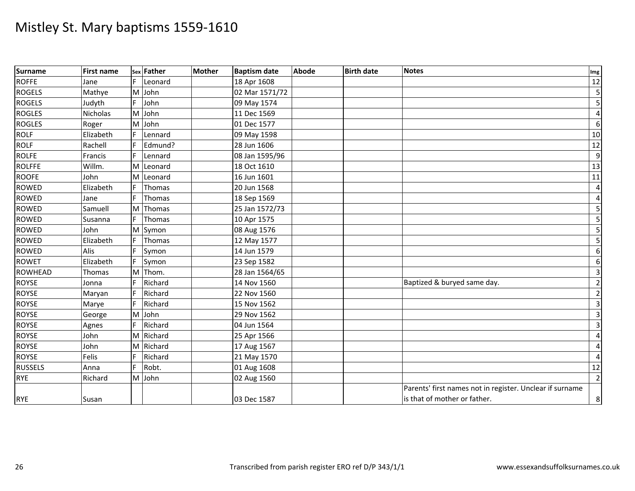| Surname        | <b>First name</b> |   | sex Father | <b>Mother</b> | <b>Baptism date</b> | <b>Abode</b> | <b>Birth date</b> | <b>Notes</b>                                             | Img                     |
|----------------|-------------------|---|------------|---------------|---------------------|--------------|-------------------|----------------------------------------------------------|-------------------------|
| <b>ROFFE</b>   | Jane              |   | Leonard    |               | 18 Apr 1608         |              |                   |                                                          | 12                      |
| <b>ROGELS</b>  | Mathye            | M | John       |               | 02 Mar 1571/72      |              |                   |                                                          | 5                       |
| <b>ROGELS</b>  | Judyth            |   | John       |               | 09 May 1574         |              |                   |                                                          | 5                       |
| <b>ROGLES</b>  | Nicholas          |   | M John     |               | 11 Dec 1569         |              |                   |                                                          | $\overline{\mathbf{4}}$ |
| <b>ROGLES</b>  | Roger             | M | John       |               | 01 Dec 1577         |              |                   |                                                          | $6\phantom{1}6$         |
| <b>ROLF</b>    | Elizabeth         |   | Lennard    |               | 09 May 1598         |              |                   |                                                          | 10                      |
| <b>ROLF</b>    | Rachell           |   | Edmund?    |               | 28 Jun 1606         |              |                   |                                                          | $\overline{12}$         |
| <b>ROLFE</b>   | Francis           | F | Lennard    |               | 08 Jan 1595/96      |              |                   |                                                          | 9                       |
| <b>ROLFFE</b>  | Willm.            | M | Leonard    |               | 18 Oct 1610         |              |                   |                                                          | 13                      |
| <b>ROOFE</b>   | John              | M | Leonard    |               | 16 Jun 1601         |              |                   |                                                          | 11                      |
| ROWED          | Elizabeth         | F | Thomas     |               | 20 Jun 1568         |              |                   |                                                          | $\overline{4}$          |
| <b>ROWED</b>   | Jane              |   | Thomas     |               | 18 Sep 1569         |              |                   |                                                          | $\overline{4}$          |
| <b>ROWED</b>   | Samuell           | M | Thomas     |               | 25 Jan 1572/73      |              |                   |                                                          | 5                       |
| <b>ROWED</b>   | Susanna           |   | Thomas     |               | 10 Apr 1575         |              |                   |                                                          | $\overline{\mathbf{5}}$ |
| <b>ROWED</b>   | John              | M | Symon      |               | 08 Aug 1576         |              |                   |                                                          | 5                       |
| <b>ROWED</b>   | Elizabeth         |   | Thomas     |               | 12 May 1577         |              |                   |                                                          | $\overline{\mathbf{5}}$ |
| <b>ROWED</b>   | Alis              |   | Symon      |               | 14 Jun 1579         |              |                   |                                                          | $\boldsymbol{6}$        |
| <b>ROWET</b>   | Elizabeth         |   | Symon      |               | 23 Sep 1582         |              |                   |                                                          | $\boldsymbol{6}$        |
| <b>ROWHEAD</b> | Thomas            | M | Thom.      |               | 28 Jan 1564/65      |              |                   |                                                          | $\overline{3}$          |
| <b>ROYSE</b>   | Jonna             |   | Richard    |               | 14 Nov 1560         |              |                   | Baptized & buryed same day.                              | $\overline{2}$          |
| <b>ROYSE</b>   | Maryan            |   | Richard    |               | 22 Nov 1560         |              |                   |                                                          | $\overline{2}$          |
| ROYSE          | Marye             | F | Richard    |               | 15 Nov 1562         |              |                   |                                                          | 3 <sup>1</sup>          |
| <b>ROYSE</b>   | George            |   | M John     |               | 29 Nov 1562         |              |                   |                                                          | $\overline{\mathbf{3}}$ |
| <b>ROYSE</b>   | Agnes             |   | Richard    |               | 04 Jun 1564         |              |                   |                                                          | $\overline{3}$          |
| <b>ROYSE</b>   | John              | M | Richard    |               | 25 Apr 1566         |              |                   |                                                          | $\overline{4}$          |
| <b>ROYSE</b>   | John              | M | Richard    |               | 17 Aug 1567         |              |                   |                                                          | $\overline{4}$          |
| <b>ROYSE</b>   | <b>Felis</b>      |   | Richard    |               | 21 May 1570         |              |                   |                                                          | $\overline{4}$          |
| <b>RUSSELS</b> | Anna              |   | Robt.      |               | 01 Aug 1608         |              |                   |                                                          | 12                      |
| <b>RYE</b>     | Richard           |   | M John     |               | 02 Aug 1560         |              |                   |                                                          | $\overline{2}$          |
|                |                   |   |            |               |                     |              |                   | Parents' first names not in register. Unclear if surname |                         |
| <b>RYE</b>     | Susan             |   |            |               | 03 Dec 1587         |              |                   | is that of mother or father.                             | 8                       |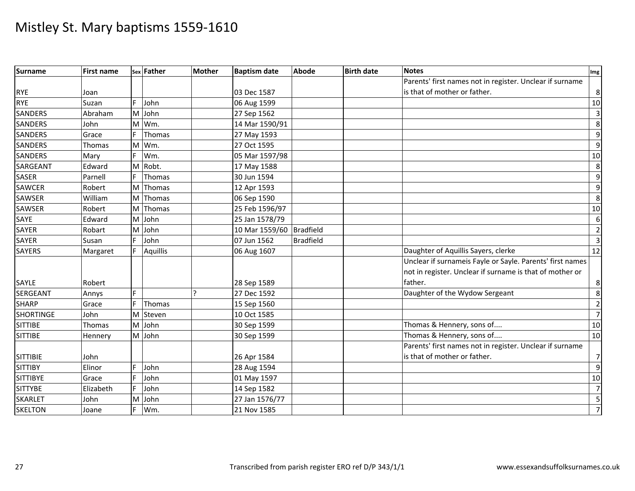| <b>Surname</b>   | <b>First name</b> |    | sex Father      | <b>Mother</b> | <b>Baptism date</b> | <b>Abode</b>     | <b>Birth date</b> | <b>Notes</b>                                              | Img            |
|------------------|-------------------|----|-----------------|---------------|---------------------|------------------|-------------------|-----------------------------------------------------------|----------------|
|                  |                   |    |                 |               |                     |                  |                   | Parents' first names not in register. Unclear if surname  |                |
| <b>RYE</b>       | Joan              |    |                 |               | 03 Dec 1587         |                  |                   | is that of mother or father.                              | 8              |
| <b>RYE</b>       | Suzan             |    | John            |               | 06 Aug 1599         |                  |                   |                                                           | 10             |
| <b>SANDERS</b>   | Abraham           | M  | John            |               | 27 Sep 1562         |                  |                   |                                                           | $\overline{3}$ |
| <b>SANDERS</b>   | John              | M  | Wm.             |               | 14 Mar 1590/91      |                  |                   |                                                           | 8              |
| <b>SANDERS</b>   | Grace             | F. | Thomas          |               | 27 May 1593         |                  |                   |                                                           | $\overline{9}$ |
| <b>SANDERS</b>   | Thomas            | M  | Wm.             |               | 27 Oct 1595         |                  |                   |                                                           | $\overline{9}$ |
| <b>SANDERS</b>   | Mary              |    | Wm.             |               | 05 Mar 1597/98      |                  |                   |                                                           | 10             |
| SARGEANT         | Edward            | M  | Robt.           |               | 17 May 1588         |                  |                   |                                                           | 8              |
| <b>SASER</b>     | Parnell           |    | Thomas          |               | 30 Jun 1594         |                  |                   |                                                           | $\overline{9}$ |
| <b>SAWCER</b>    | Robert            | M  | Thomas          |               | 12 Apr 1593         |                  |                   |                                                           | $\overline{9}$ |
| SAWSER           | William           |    | M Thomas        |               | 06 Sep 1590         |                  |                   |                                                           | 8              |
| SAWSER           | Robert            | M  | Thomas          |               | 25 Feb 1596/97      |                  |                   |                                                           | 10             |
| SAYE             | Edward            |    | M John          |               | 25 Jan 1578/79      |                  |                   |                                                           | $6 \mid$       |
| <b>SAYER</b>     | Robart            | M  | John            |               | 10 Mar 1559/60      | <b>Bradfield</b> |                   |                                                           | $\overline{2}$ |
| <b>SAYER</b>     | Susan             |    | John            |               | 07 Jun 1562         | <b>Bradfield</b> |                   |                                                           | $\overline{3}$ |
| <b>SAYERS</b>    | Margaret          |    | <b>Aquillis</b> |               | 06 Aug 1607         |                  |                   | Daughter of Aquillis Sayers, clerke                       | 12             |
|                  |                   |    |                 |               |                     |                  |                   | Unclear if surnameis Fayle or Sayle. Parents' first names |                |
|                  |                   |    |                 |               |                     |                  |                   | not in register. Unclear if surname is that of mother or  |                |
| SAYLE            | Robert            |    |                 |               | 28 Sep 1589         |                  |                   | father.                                                   | 8              |
| <b>SERGEANT</b>  | Annys             | F. |                 |               | 27 Dec 1592         |                  |                   | Daughter of the Wydow Sergeant                            | 8              |
| <b>SHARP</b>     | Grace             | F. | Thomas          |               | 15 Sep 1560         |                  |                   |                                                           | $\overline{2}$ |
| <b>SHORTINGE</b> | John              | M  | Steven          |               | 10 Oct 1585         |                  |                   |                                                           | $\overline{7}$ |
| <b>SITTIBE</b>   | Thomas            |    | M John          |               | 30 Sep 1599         |                  |                   | Thomas & Hennery, sons of                                 | 10             |
| <b>SITTIBE</b>   | Hennery           |    | M John          |               | 30 Sep 1599         |                  |                   | Thomas & Hennery, sons of                                 | 10             |
|                  |                   |    |                 |               |                     |                  |                   | Parents' first names not in register. Unclear if surname  |                |
| <b>SITTIBIE</b>  | John              |    |                 |               | 26 Apr 1584         |                  |                   | is that of mother or father.                              | $\overline{7}$ |
| <b>SITTIBY</b>   | Elinor            |    | John            |               | 28 Aug 1594         |                  |                   |                                                           | $\overline{9}$ |
| <b>SITTIBYE</b>  | Grace             |    | John            |               | 01 May 1597         |                  |                   |                                                           | 10             |
| <b>SITTYBE</b>   | Elizabeth         | F  | John            |               | 14 Sep 1582         |                  |                   |                                                           | $\overline{7}$ |
| <b>SKARLET</b>   | John              | M  | John            |               | 27 Jan 1576/77      |                  |                   |                                                           | 5              |
| <b>SKELTON</b>   | Joane             |    | Wm.             |               | 21 Nov 1585         |                  |                   |                                                           | $\overline{7}$ |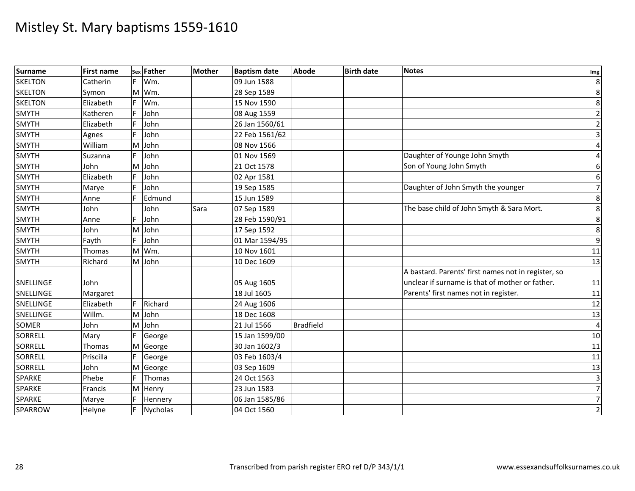| Surname        | <b>First name</b> |    | sex Father | <b>Mother</b> | <b>Baptism date</b> | <b>Abode</b>     | <b>Birth date</b> | <b>Notes</b>                                        | Img                     |
|----------------|-------------------|----|------------|---------------|---------------------|------------------|-------------------|-----------------------------------------------------|-------------------------|
| <b>SKELTON</b> | Catherin          | F. | Wm.        |               | 09 Jun 1588         |                  |                   |                                                     | 8                       |
| <b>SKELTON</b> | Symon             | M  | Wm.        |               | 28 Sep 1589         |                  |                   |                                                     | 8                       |
| <b>SKELTON</b> | Elizabeth         |    | Wm.        |               | 15 Nov 1590         |                  |                   |                                                     | 8                       |
| <b>SMYTH</b>   | Katheren          |    | John       |               | 08 Aug 1559         |                  |                   |                                                     | $\overline{2}$          |
| <b>SMYTH</b>   | Elizabeth         |    | John       |               | 26 Jan 1560/61      |                  |                   |                                                     | $\overline{2}$          |
| <b>SMYTH</b>   | Agnes             |    | John       |               | 22 Feb 1561/62      |                  |                   |                                                     | $\overline{\mathbf{3}}$ |
| <b>SMYTH</b>   | William           | M  | John       |               | 08 Nov 1566         |                  |                   |                                                     | $\overline{4}$          |
| <b>SMYTH</b>   | Suzanna           |    | John       |               | 01 Nov 1569         |                  |                   | Daughter of Younge John Smyth                       | $\overline{4}$          |
| <b>SMYTH</b>   | John              | M  | John       |               | 21 Oct 1578         |                  |                   | Son of Young John Smyth                             | $\boldsymbol{6}$        |
| <b>SMYTH</b>   | Elizabeth         |    | John       |               | 02 Apr 1581         |                  |                   |                                                     | 6                       |
| SMYTH          | Marye             |    | John       |               | 19 Sep 1585         |                  |                   | Daughter of John Smyth the younger                  | $\overline{7}$          |
| <b>SMYTH</b>   | Anne              |    | Edmund     |               | 15 Jun 1589         |                  |                   |                                                     | 8                       |
| <b>SMYTH</b>   | John              |    | John       | Sara          | 07 Sep 1589         |                  |                   | The base child of John Smyth & Sara Mort.           | $\overline{8}$          |
| <b>SMYTH</b>   | Anne              |    | John       |               | 28 Feb 1590/91      |                  |                   |                                                     | $\overline{8}$          |
| <b>SMYTH</b>   | John              |    | M John     |               | 17 Sep 1592         |                  |                   |                                                     | 8                       |
| <b>SMYTH</b>   | Fayth             |    | John       |               | 01 Mar 1594/95      |                  |                   |                                                     | 9                       |
| <b>SMYTH</b>   | Thomas            | M  | Wm.        |               | 10 Nov 1601         |                  |                   |                                                     | 11                      |
| <b>SMYTH</b>   | Richard           |    | M John     |               | 10 Dec 1609         |                  |                   |                                                     | 13                      |
|                |                   |    |            |               |                     |                  |                   | A bastard. Parents' first names not in register, so |                         |
| SNELLINGE      | John              |    |            |               | 05 Aug 1605         |                  |                   | unclear if surname is that of mother or father.     | 11                      |
| SNELLINGE      | Margaret          |    |            |               | 18 Jul 1605         |                  |                   | Parents' first names not in register.               | 11                      |
| SNELLINGE      | Elizabeth         | F. | Richard    |               | 24 Aug 1606         |                  |                   |                                                     | 12                      |
| SNELLINGE      | Willm.            |    | M John     |               | 18 Dec 1608         |                  |                   |                                                     | 13                      |
| <b>SOMER</b>   | John              |    | M John     |               | 21 Jul 1566         | <b>Bradfield</b> |                   |                                                     | $\overline{4}$          |
| <b>SORRELL</b> | Mary              |    | George     |               | 15 Jan 1599/00      |                  |                   |                                                     | 10                      |
| <b>SORRELL</b> | Thomas            | M  | George     |               | 30 Jan 1602/3       |                  |                   |                                                     | 11                      |
| <b>SORRELL</b> | Priscilla         |    | George     |               | 03 Feb 1603/4       |                  |                   |                                                     | 11                      |
| SORRELL        | John              | M  | George     |               | 03 Sep 1609         |                  |                   |                                                     | $\overline{13}$         |
| <b>SPARKE</b>  | Phebe             |    | Thomas     |               | 24 Oct 1563         |                  |                   |                                                     | $\overline{\mathbf{3}}$ |
| SPARKE         | Francis           | M  | Henry      |               | 23 Jun 1583         |                  |                   |                                                     | $\overline{7}$          |
| <b>SPARKE</b>  | Marye             |    | Hennery    |               | 06 Jan 1585/86      |                  |                   |                                                     | $\overline{7}$          |
| SPARROW        | Helyne            |    | Nycholas   |               | 04 Oct 1560         |                  |                   |                                                     | $\overline{2}$          |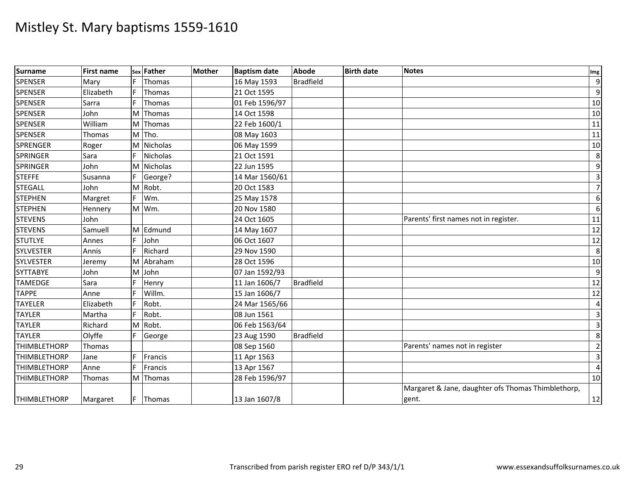| Surname             | <b>First name</b> |     | sex Father | <b>Mother</b> | <b>Baptism date</b> | <b>Abode</b>     | <b>Birth date</b> | Notes                                              | Img                     |
|---------------------|-------------------|-----|------------|---------------|---------------------|------------------|-------------------|----------------------------------------------------|-------------------------|
| <b>SPENSER</b>      | Mary              |     | Thomas     |               | 16 May 1593         | <b>Bradfield</b> |                   |                                                    | $9\,$                   |
| <b>SPENSER</b>      | Elizabeth         |     | Thomas     |               | 21 Oct 1595         |                  |                   |                                                    | $\boldsymbol{9}$        |
| <b>SPENSER</b>      | Sarra             |     | Thomas     |               | 01 Feb 1596/97      |                  |                   |                                                    | 10                      |
| <b>SPENSER</b>      | John              | M   | Thomas     |               | 14 Oct 1598         |                  |                   |                                                    | 10                      |
| <b>SPENSER</b>      | William           | M   | Thomas     |               | 22 Feb 1600/1       |                  |                   |                                                    | 11                      |
| <b>SPENSER</b>      | Thomas            |     | M Tho.     |               | 08 May 1603         |                  |                   |                                                    | 11                      |
| <b>SPRENGER</b>     | Roger             | M   | Nicholas   |               | 06 May 1599         |                  |                   |                                                    | 10                      |
| <b>SPRINGER</b>     | Sara              |     | Nicholas   |               | 21 Oct 1591         |                  |                   |                                                    | 8                       |
| <b>SPRINGER</b>     | John              | M   | Nicholas   |               | 22 Jun 1595         |                  |                   |                                                    | $\boldsymbol{9}$        |
| <b>STEFFE</b>       | Susanna           |     | George?    |               | 14 Mar 1560/61      |                  |                   |                                                    | $\overline{\mathbf{3}}$ |
| <b>STEGALL</b>      | John              |     | M Robt.    |               | 20 Oct 1583         |                  |                   |                                                    | $\overline{7}$          |
| <b>STEPHEN</b>      | Margret           |     | Wm.        |               | 25 May 1578         |                  |                   |                                                    | 6                       |
| <b>STEPHEN</b>      | Hennery           | M   | Wm.        |               | 20 Nov 1580         |                  |                   |                                                    | $6\,$                   |
| <b>STEVENS</b>      | John              |     |            |               | 24 Oct 1605         |                  |                   | Parents' first names not in register.              | 11                      |
| <b>STEVENS</b>      | Samuell           |     | M Edmund   |               | 14 May 1607         |                  |                   |                                                    | 12                      |
| <b>STUTLYE</b>      | Annes             |     | John       |               | 06 Oct 1607         |                  |                   |                                                    | 12                      |
| <b>SYLVESTER</b>    | Annis             |     | Richard    |               | 29 Nov 1590         |                  |                   |                                                    | 8                       |
| <b>SYLVESTER</b>    | Jeremy            | M   | Abraham    |               | 28 Oct 1596         |                  |                   |                                                    | 10                      |
| <b>SYTTABYE</b>     | John              | M   | John       |               | 07 Jan 1592/93      |                  |                   |                                                    | 9                       |
| <b>TAMEDGE</b>      | Sara              |     | Henry      |               | 11 Jan 1606/7       | <b>Bradfield</b> |                   |                                                    | $12$                    |
| <b>TAPPE</b>        | Anne              |     | Willm.     |               | 15 Jan 1606/7       |                  |                   |                                                    | 12                      |
| <b>TAYELER</b>      | Elizabeth         | F   | Robt.      |               | 24 Mar 1565/66      |                  |                   |                                                    | 4                       |
| <b>TAYLER</b>       | Martha            | F.  | Robt.      |               | 08 Jun 1561         |                  |                   |                                                    | $\overline{\mathbf{3}}$ |
| <b>TAYLER</b>       | Richard           | M   | Robt.      |               | 06 Feb 1563/64      |                  |                   |                                                    | $\overline{3}$          |
| <b>TAYLER</b>       | Olyffe            |     | George     |               | 23 Aug 1590         | <b>Bradfield</b> |                   |                                                    | 8                       |
| <b>THIMBLETHORP</b> | Thomas            |     |            |               | 08 Sep 1560         |                  |                   | Parents' names not in register                     | $\overline{2}$          |
| <b>THIMBLETHORP</b> | Jane              |     | Francis    |               | 11 Apr 1563         |                  |                   |                                                    | $\overline{3}$          |
| <b>THIMBLETHORP</b> | Anne              |     | Francis    |               | 13 Apr 1567         |                  |                   |                                                    | $\overline{4}$          |
| <b>THIMBLETHORP</b> | Thomas            |     | M Thomas   |               | 28 Feb 1596/97      |                  |                   |                                                    | 10                      |
|                     |                   |     |            |               |                     |                  |                   | Margaret & Jane, daughter ofs Thomas Thimblethorp, |                         |
| <b>THIMBLETHORP</b> | Margaret          | IF. | Thomas     |               | 13 Jan 1607/8       |                  |                   | gent.                                              | 12                      |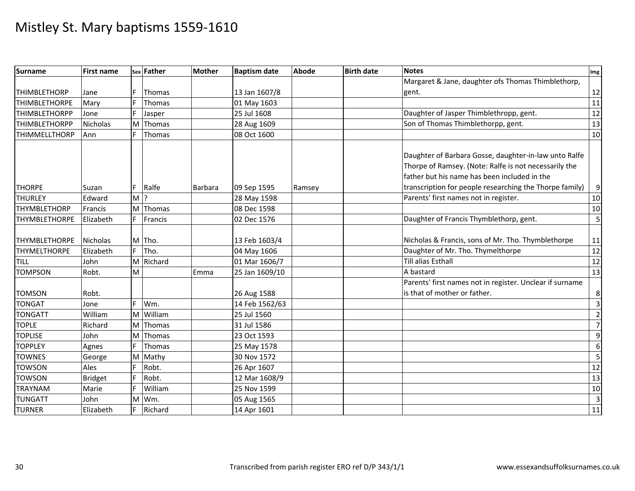| <b>Surname</b>       | <b>First name</b> |       | sex Father | <b>Mother</b>  | <b>Baptism date</b> | <b>Abode</b> | <b>Birth date</b> | <b>Notes</b>                                             | Img              |
|----------------------|-------------------|-------|------------|----------------|---------------------|--------------|-------------------|----------------------------------------------------------|------------------|
|                      |                   |       |            |                |                     |              |                   | Margaret & Jane, daughter ofs Thomas Thimblethorp,       |                  |
| <b>THIMBLETHORP</b>  | Jane              |       | Thomas     |                | 13 Jan 1607/8       |              |                   | gent.                                                    | 12               |
| <b>THIMBLETHORPE</b> | Mary              |       | Thomas     |                | 01 May 1603         |              |                   |                                                          | 11               |
| <b>THIMBLETHORPP</b> | Jone              |       | Jasper     |                | 25 Jul 1608         |              |                   | Daughter of Jasper Thimblethropp, gent.                  | $\overline{12}$  |
| <b>THIMBLETHORPP</b> | Nicholas          | M     | Thomas     |                | 28 Aug 1609         |              |                   | Son of Thomas Thimblethorpp, gent.                       | $\overline{13}$  |
| <b>THIMMELLTHORP</b> | Ann               | F     | Thomas     |                | 08 Oct 1600         |              |                   |                                                          | 10               |
|                      |                   |       |            |                |                     |              |                   |                                                          |                  |
|                      |                   |       |            |                |                     |              |                   | Daughter of Barbara Gosse, daughter-in-law unto Ralfe    |                  |
|                      |                   |       |            |                |                     |              |                   | Thorpe of Ramsey. (Note: Ralfe is not necessarily the    |                  |
|                      |                   |       |            |                |                     |              |                   | father but his name has been included in the             |                  |
| <b>THORPE</b>        | Suzan             | F     | Ralfe      | <b>Barbara</b> | 09 Sep 1595         | Ramsey       |                   | transcription for people researching the Thorpe family)  | $\boldsymbol{9}$ |
| <b>THURLEY</b>       | Edward            | $M$ ? |            |                | 28 May 1598         |              |                   | Parents' first names not in register.                    | 10               |
| <b>THYMBLETHORP</b>  | Francis           |       | M Thomas   |                | 08 Dec 1598         |              |                   |                                                          | 10               |
| <b>THYMBLETHORPE</b> | Elizabeth         | F.    | Francis    |                | 02 Dec 1576         |              |                   | Daughter of Francis Thymblethorp, gent.                  | 5                |
|                      |                   |       |            |                |                     |              |                   |                                                          |                  |
| <b>THYMBLETHORPE</b> | <b>Nicholas</b>   |       | M Tho.     |                | 13 Feb 1603/4       |              |                   | Nicholas & Francis, sons of Mr. Tho. Thymblethorpe       | 11               |
| <b>THYMELTHORPE</b>  | Elizabeth         | F.    | Tho.       |                | 04 May 1606         |              |                   | Daughter of Mr. Tho. Thymelthorpe                        | 12               |
| <b>TILL</b>          | John              |       | M Richard  |                | 01 Mar 1606/7       |              |                   | Till alias Esthall                                       | $\frac{12}{12}$  |
| <b>TOMPSON</b>       | Robt.             | M     |            | Emma           | 25 Jan 1609/10      |              |                   | A bastard                                                | $\overline{13}$  |
|                      |                   |       |            |                |                     |              |                   | Parents' first names not in register. Unclear if surname |                  |
| <b>TOMSON</b>        | Robt.             |       |            |                | 26 Aug 1588         |              |                   | is that of mother or father.                             | $\bf 8$          |
| <b>TONGAT</b>        | Jone              | F.    | Wm.        |                | 14 Feb 1562/63      |              |                   |                                                          | $\overline{3}$   |
| <b>TONGATT</b>       | William           | M     | William    |                | 25 Jul 1560         |              |                   |                                                          | $\overline{2}$   |
| <b>TOPLE</b>         | Richard           |       | M Thomas   |                | 31 Jul 1586         |              |                   |                                                          | $\overline{7}$   |
| <b>TOPLISE</b>       | John              | M     | Thomas     |                | 23 Oct 1593         |              |                   |                                                          | $\boldsymbol{9}$ |
| <b>TOPPLEY</b>       | Agnes             | F     | Thomas     |                | 25 May 1578         |              |                   |                                                          | $\boldsymbol{6}$ |
| <b>TOWNES</b>        | George            | M     | Mathy      |                | 30 Nov 1572         |              |                   |                                                          | 5                |
| <b>TOWSON</b>        | Ales              |       | Robt.      |                | 26 Apr 1607         |              |                   |                                                          | $\overline{12}$  |
| <b>TOWSON</b>        | <b>Bridget</b>    | Ė     | Robt.      |                | 12 Mar 1608/9       |              |                   |                                                          | 13               |
| <b>TRAYNAM</b>       | Marie             | F     | William    |                | 25 Nov 1599         |              |                   |                                                          | 10               |
| <b>TUNGATT</b>       | John              | M     | Wm.        |                | 05 Aug 1565         |              |                   |                                                          | $\overline{3}$   |
| <b>TURNER</b>        | Elizabeth         |       | Richard    |                | 14 Apr 1601         |              |                   |                                                          | 11               |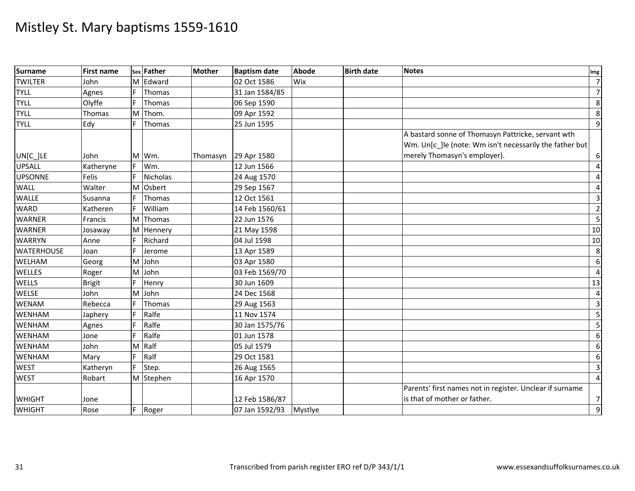| <b>Surname</b>    | <b>First name</b> |    | sex Father | <b>Mother</b> | <b>Baptism date</b> | <b>Abode</b> | <b>Birth date</b> | <b>Notes</b>                                                                                                                                  | Img                     |
|-------------------|-------------------|----|------------|---------------|---------------------|--------------|-------------------|-----------------------------------------------------------------------------------------------------------------------------------------------|-------------------------|
| <b>TWILTER</b>    | John              | M  | Edward     |               | 02 Oct 1586         | Wix          |                   |                                                                                                                                               | $\overline{7}$          |
| <b>TYLL</b>       | Agnes             |    | Thomas     |               | 31 Jan 1584/85      |              |                   |                                                                                                                                               | $\overline{7}$          |
| <b>TYLL</b>       | Olyffe            |    | Thomas     |               | 06 Sep 1590         |              |                   |                                                                                                                                               | 8                       |
| <b>TYLL</b>       | Thomas            | M  | Thom.      |               | 09 Apr 1592         |              |                   |                                                                                                                                               | $\infty$                |
| <b>TYLL</b>       | Edy               | F. | Thomas     |               | 25 Jun 1595         |              |                   |                                                                                                                                               | $9\,$                   |
| UN[C_]LE          | John              | M  | Wm.        | Thomasyn      | 29 Apr 1580         |              |                   | A bastard sonne of Thomasyn Pattricke, servant wth<br>Wm. Un[c_]le (note: Wm isn't necessarily the father but<br>merely Thomasyn's employer). | $6 \mid$                |
| <b>UPSALL</b>     | Katheryne         | F. | Wm.        |               | 12 Jun 1566         |              |                   |                                                                                                                                               | 4                       |
| <b>UPSONNE</b>    | Felis             |    | Nicholas   |               | 24 Aug 1570         |              |                   |                                                                                                                                               | $\overline{4}$          |
| <b>WALL</b>       | Walter            | M  | Osbert     |               | 29 Sep 1567         |              |                   |                                                                                                                                               | 4                       |
| <b>WALLE</b>      | Susanna           | F. | Thomas     |               | 12 Oct 1561         |              |                   |                                                                                                                                               | $\overline{\mathbf{3}}$ |
| <b>WARD</b>       | Katheren          |    | William    |               | 14 Feb 1560/61      |              |                   |                                                                                                                                               | $\overline{2}$          |
| <b>WARNER</b>     | Francis           | M  | Thomas     |               | 22 Jun 1576         |              |                   |                                                                                                                                               | 5                       |
| <b>WARNER</b>     | Josaway           | M  | Hennery    |               | 21 May 1598         |              |                   |                                                                                                                                               | 10                      |
| <b>WARRYN</b>     | Anne              |    | Richard    |               | 04 Jul 1598         |              |                   |                                                                                                                                               | 10                      |
| <b>WATERHOUSE</b> | Joan              | F. | Jerome     |               | 13 Apr 1589         |              |                   |                                                                                                                                               | 8                       |
| <b>WELHAM</b>     | Georg             | M  | John       |               | 03 Apr 1580         |              |                   |                                                                                                                                               | 6                       |
| <b>WELLES</b>     | Roger             | M  | John       |               | 03 Feb 1569/70      |              |                   |                                                                                                                                               | $\overline{4}$          |
| <b>WELLS</b>      | <b>Brigit</b>     |    | Henry      |               | 30 Jun 1609         |              |                   |                                                                                                                                               | $\overline{13}$         |
| <b>WELSE</b>      | John              | M  | John       |               | 24 Dec 1568         |              |                   |                                                                                                                                               | $\overline{\mathbf{4}}$ |
| <b>WENAM</b>      | Rebecca           |    | Thomas     |               | 29 Aug 1563         |              |                   |                                                                                                                                               | $\overline{3}$          |
| <b>WENHAM</b>     | Japhery           |    | Ralfe      |               | 11 Nov 1574         |              |                   |                                                                                                                                               | 5                       |
| <b>WENHAM</b>     | Agnes             |    | Ralfe      |               | 30 Jan 1575/76      |              |                   |                                                                                                                                               | 5                       |
| WENHAM            | Jone              |    | Ralfe      |               | 01 Jun 1578         |              |                   |                                                                                                                                               | $6\,$                   |
| <b>WENHAM</b>     | John              | M  | Ralf       |               | 05 Jul 1579         |              |                   |                                                                                                                                               | $\boldsymbol{6}$        |
| <b>WENHAM</b>     | Mary              |    | Ralf       |               | 29 Oct 1581         |              |                   |                                                                                                                                               | $\boldsymbol{6}$        |
| <b>WEST</b>       | Katheryn          |    | Step.      |               | 26 Aug 1565         |              |                   |                                                                                                                                               | $\overline{\mathbf{3}}$ |
| <b>WEST</b>       | Robart            |    | M Stephen  |               | 16 Apr 1570         |              |                   |                                                                                                                                               | $\overline{4}$          |
| <b>WHIGHT</b>     | Jone              |    |            |               | 12 Feb 1586/87      |              |                   | Parents' first names not in register. Unclear if surname<br>is that of mother or father.                                                      | 7                       |
| <b>WHIGHT</b>     | Rose              | F. | Roger      |               | 07 Jan 1592/93      | Mystlye      |                   |                                                                                                                                               | $\boldsymbol{9}$        |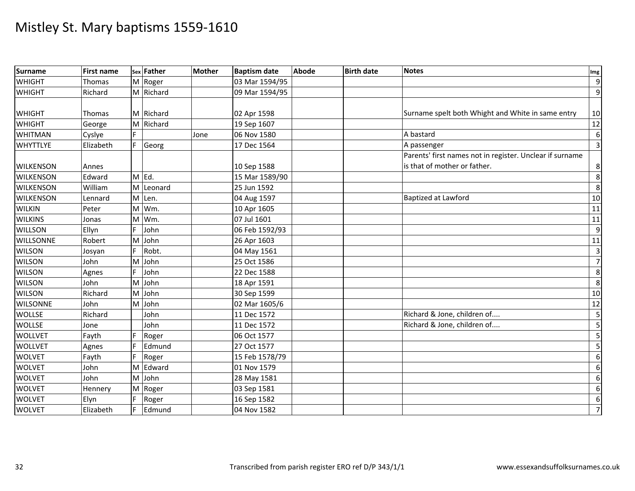| Surname          | <b>First name</b> |    | sex Father | <b>Mother</b> | <b>Baptism date</b> | <b>Abode</b> | <b>Birth date</b> | <b>Notes</b>                                             | Img                     |
|------------------|-------------------|----|------------|---------------|---------------------|--------------|-------------------|----------------------------------------------------------|-------------------------|
| <b>WHIGHT</b>    | Thomas            |    | M Roger    |               | 03 Mar 1594/95      |              |                   |                                                          | $\overline{9}$          |
| <b>WHIGHT</b>    | Richard           |    | M Richard  |               | 09 Mar 1594/95      |              |                   |                                                          | $\overline{9}$          |
|                  |                   |    |            |               |                     |              |                   |                                                          |                         |
| <b>WHIGHT</b>    | Thomas            |    | M Richard  |               | 02 Apr 1598         |              |                   | Surname spelt both Whight and White in same entry        | 10                      |
| <b>WHIGHT</b>    | George            |    | M Richard  |               | 19 Sep 1607         |              |                   |                                                          | 12                      |
| WHITMAN          | Cyslye            |    |            | Jone          | 06 Nov 1580         |              |                   | A bastard                                                | $\,6$                   |
| <b>WHYTTLYE</b>  | Elizabeth         |    | Georg      |               | 17 Dec 1564         |              |                   | A passenger                                              | $\overline{\mathbf{3}}$ |
|                  |                   |    |            |               |                     |              |                   | Parents' first names not in register. Unclear if surname |                         |
| <b>WILKENSON</b> | Annes             |    |            |               | 10 Sep 1588         |              |                   | is that of mother or father.                             | 8                       |
| <b>WILKENSON</b> | Edward            |    | M Ed.      |               | 15 Mar 1589/90      |              |                   |                                                          | 8                       |
| <b>WILKENSON</b> | William           | M  | Leonard    |               | 25 Jun 1592         |              |                   |                                                          | 8                       |
| <b>WILKENSON</b> | Lennard           |    | M Len.     |               | 04 Aug 1597         |              |                   | <b>Baptized at Lawford</b>                               | 10                      |
| <b>WILKIN</b>    | Peter             | M  | Wm.        |               | 10 Apr 1605         |              |                   |                                                          | $\overline{11}$         |
| <b>WILKINS</b>   | Jonas             |    | M Wm.      |               | 07 Jul 1601         |              |                   |                                                          | 11                      |
| <b>WILLSON</b>   | Ellyn             |    | John       |               | 06 Feb 1592/93      |              |                   |                                                          | 9                       |
| <b>WILLSONNE</b> | Robert            | M  | John       |               | 26 Apr 1603         |              |                   |                                                          | $11\,$                  |
| <b>WILSON</b>    | Josyan            | F. | Robt.      |               | 04 May 1561         |              |                   |                                                          | $\overline{\mathbf{3}}$ |
| <b>WILSON</b>    | John              |    | M John     |               | 25 Oct 1586         |              |                   |                                                          | $\overline{7}$          |
| <b>WILSON</b>    | Agnes             |    | John       |               | 22 Dec 1588         |              |                   |                                                          | 8                       |
| <b>WILSON</b>    | John              |    | M John     |               | 18 Apr 1591         |              |                   |                                                          | 8                       |
| <b>WILSON</b>    | Richard           | M  | John       |               | 30 Sep 1599         |              |                   |                                                          | 10                      |
| <b>WILSONNE</b>  | John              |    | M John     |               | 02 Mar 1605/6       |              |                   |                                                          | $\overline{12}$         |
| <b>WOLLSE</b>    | Richard           |    | John       |               | 11 Dec 1572         |              |                   | Richard & Jone, children of                              | 5                       |
| <b>WOLLSE</b>    | Jone              |    | John       |               | 11 Dec 1572         |              |                   | Richard & Jone, children of                              | 5                       |
| <b>WOLLVET</b>   | Fayth             |    | Roger      |               | 06 Oct 1577         |              |                   |                                                          | 5                       |
| <b>WOLLVET</b>   | Agnes             |    | Edmund     |               | 27 Oct 1577         |              |                   |                                                          | 5                       |
| <b>WOLVET</b>    | Fayth             |    | Roger      |               | 15 Feb 1578/79      |              |                   |                                                          | 6                       |
| <b>WOLVET</b>    | John              |    | M Edward   |               | 01 Nov 1579         |              |                   |                                                          | $\boldsymbol{6}$        |
| <b>WOLVET</b>    | John              | M  | John       |               | 28 May 1581         |              |                   |                                                          | 6                       |
| <b>WOLVET</b>    | Hennery           |    | M Roger    |               | 03 Sep 1581         |              |                   |                                                          | $6\,$                   |
| <b>WOLVET</b>    | Elyn              |    | Roger      |               | 16 Sep 1582         |              |                   |                                                          | $\boldsymbol{6}$        |
| <b>WOLVET</b>    | Elizabeth         |    | Edmund     |               | 04 Nov 1582         |              |                   |                                                          | $\overline{z}$          |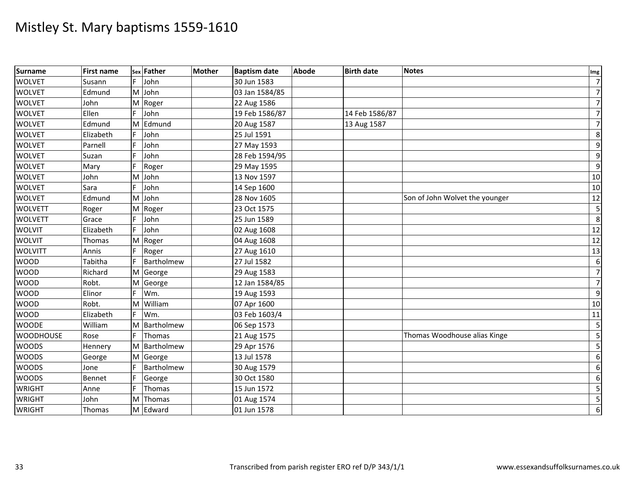| Surname          | <b>First name</b> |    | sex Father   | <b>Mother</b> | <b>Baptism date</b> | <b>Abode</b> | <b>Birth date</b> | <b>Notes</b>                   | Img                     |
|------------------|-------------------|----|--------------|---------------|---------------------|--------------|-------------------|--------------------------------|-------------------------|
| <b>WOLVET</b>    | Susann            | E  | John         |               | 30 Jun 1583         |              |                   |                                | $\overline{7}$          |
| <b>WOLVET</b>    | Edmund            |    | M John       |               | 03 Jan 1584/85      |              |                   |                                | $7\overline{}$          |
| <b>WOLVET</b>    | John              | M  | Roger        |               | 22 Aug 1586         |              |                   |                                | $\overline{7}$          |
| <b>WOLVET</b>    | Ellen             |    | John         |               | 19 Feb 1586/87      |              | 14 Feb 1586/87    |                                | 7                       |
| <b>WOLVET</b>    | Edmund            | M  | Edmund       |               | 20 Aug 1587         |              | 13 Aug 1587       |                                | $\overline{7}$          |
| <b>WOLVET</b>    | Elizabeth         | F. | John         |               | 25 Jul 1591         |              |                   |                                | $\,8\,$                 |
| <b>WOLVET</b>    | Parnell           | F. | John         |               | 27 May 1593         |              |                   |                                | $9\,$                   |
| <b>WOLVET</b>    | Suzan             |    | John         |               | 28 Feb 1594/95      |              |                   |                                | $\boldsymbol{9}$        |
| <b>WOLVET</b>    | Mary              |    | Roger        |               | 29 May 1595         |              |                   |                                | 9                       |
| <b>WOLVET</b>    | John              | M  | John         |               | 13 Nov 1597         |              |                   |                                | 10                      |
| <b>WOLVET</b>    | Sara              | F. | John         |               | 14 Sep 1600         |              |                   |                                | 10                      |
| <b>WOLVET</b>    | Edmund            | M  | John         |               | 28 Nov 1605         |              |                   | Son of John Wolvet the younger | 12                      |
| <b>WOLVETT</b>   | Roger             | M  | Roger        |               | 23 Oct 1575         |              |                   |                                | $\overline{\mathbf{5}}$ |
| <b>WOLVETT</b>   | Grace             |    | John         |               | 25 Jun 1589         |              |                   |                                | 8                       |
| <b>WOLVIT</b>    | Elizabeth         | F. | John         |               | 02 Aug 1608         |              |                   |                                | 12                      |
| <b>WOLVIT</b>    | Thomas            | M  | Roger        |               | 04 Aug 1608         |              |                   |                                | 12                      |
| <b>WOLVITT</b>   | Annis             |    | Roger        |               | 27 Aug 1610         |              |                   |                                | 13                      |
| <b>WOOD</b>      | Tabitha           |    | Bartholmew   |               | 27 Jul 1582         |              |                   |                                | 6                       |
| <b>WOOD</b>      | Richard           |    | M George     |               | 29 Aug 1583         |              |                   |                                | $\overline{7}$          |
| <b>WOOD</b>      | Robt.             | M  | George       |               | 12 Jan 1584/85      |              |                   |                                | $\overline{7}$          |
| <b>WOOD</b>      | Elinor            |    | Wm.          |               | 19 Aug 1593         |              |                   |                                | $\boldsymbol{9}$        |
| <b>WOOD</b>      | Robt.             | M  | William      |               | 07 Apr 1600         |              |                   |                                | 10                      |
| <b>WOOD</b>      | Elizabeth         | F. | Wm.          |               | 03 Feb 1603/4       |              |                   |                                | 11                      |
| <b>WOODE</b>     | William           | M  | Bartholmew   |               | 06 Sep 1573         |              |                   |                                | 5                       |
| <b>WOODHOUSE</b> | Rose              |    | Thomas       |               | 21 Aug 1575         |              |                   | Thomas Woodhouse alias Kinge   | $\overline{5}$          |
| <b>WOODS</b>     | Hennery           |    | M Bartholmew |               | 29 Apr 1576         |              |                   |                                | $\overline{\mathbf{5}}$ |
| <b>WOODS</b>     | George            | M  | George       |               | 13 Jul 1578         |              |                   |                                | 6                       |
| <b>WOODS</b>     | Jone              |    | Bartholmew   |               | 30 Aug 1579         |              |                   |                                | $\,6$                   |
| <b>WOODS</b>     | Bennet            |    | George       |               | 30 Oct 1580         |              |                   |                                | 6                       |
| <b>WRIGHT</b>    | Anne              | F  | Thomas       |               | 15 Jun 1572         |              |                   |                                | $\overline{\mathbf{5}}$ |
| <b>WRIGHT</b>    | John              | M  | Thomas       |               | 01 Aug 1574         |              |                   |                                | $\overline{5}$          |
| <b>WRIGHT</b>    | Thomas            |    | M Edward     |               | 01 Jun 1578         |              |                   |                                | 6                       |